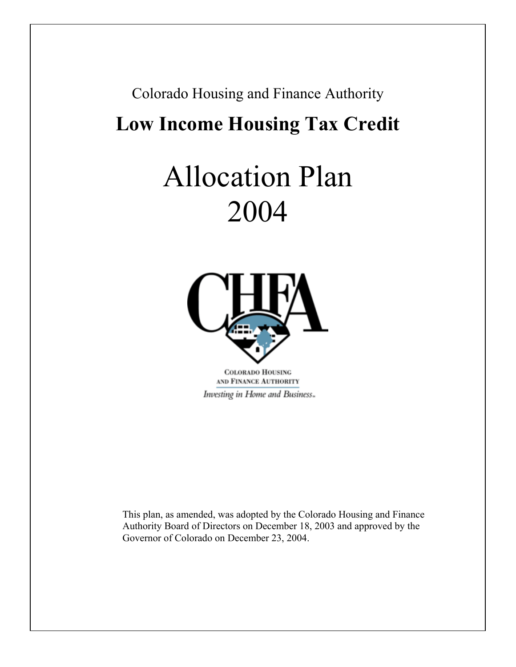# Colorado Housing and Finance Authority **Low Income Housing Tax Credit**

# Allocation Plan 2004



**COLORADO HOUSING** AND FINANCE AUTHORITY Investing in Home and Business...

This plan, as amended, was adopted by the Colorado Housing and Finance Authority Board of Directors on December 18, 2003 and approved by the Governor of Colorado on December 23, 2004.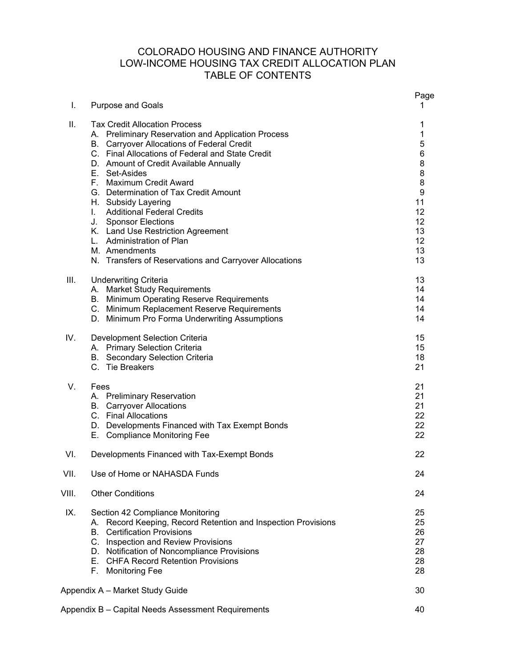# COLORADO HOUSING AND FINANCE AUTHORITY LOW-INCOME HOUSING TAX CREDIT ALLOCATION PLAN TABLE OF CONTENTS

| I.    | <b>Purpose and Goals</b>                                                                                                                                                                                                                                                                                                                                                                                                                                                                                                                                 | Page<br>1                                                                          |
|-------|----------------------------------------------------------------------------------------------------------------------------------------------------------------------------------------------------------------------------------------------------------------------------------------------------------------------------------------------------------------------------------------------------------------------------------------------------------------------------------------------------------------------------------------------------------|------------------------------------------------------------------------------------|
| Ш.    | <b>Tax Credit Allocation Process</b><br>A. Preliminary Reservation and Application Process<br>B. Carryover Allocations of Federal Credit<br>C. Final Allocations of Federal and State Credit<br>D. Amount of Credit Available Annually<br>E. Set-Asides<br>F. Maximum Credit Award<br>G. Determination of Tax Credit Amount<br>H. Subsidy Layering<br>I. Additional Federal Credits<br>J. Sponsor Elections<br>K. Land Use Restriction Agreement<br>L. Administration of Plan<br>M. Amendments<br>N. Transfers of Reservations and Carryover Allocations | 1<br>1<br>5<br>$\,6$<br>8<br>8<br>8<br>9<br>11<br>12<br>12<br>13<br>12<br>13<br>13 |
| III.  | <b>Underwriting Criteria</b><br>A. Market Study Requirements<br>B. Minimum Operating Reserve Requirements<br>C. Minimum Replacement Reserve Requirements<br>D. Minimum Pro Forma Underwriting Assumptions                                                                                                                                                                                                                                                                                                                                                | 13<br>14<br>14<br>14<br>14                                                         |
| IV.   | Development Selection Criteria<br>A. Primary Selection Criteria<br><b>B.</b> Secondary Selection Criteria<br>C. Tie Breakers                                                                                                                                                                                                                                                                                                                                                                                                                             | 15<br>15<br>18<br>21                                                               |
| V.    | Fees<br>A. Preliminary Reservation<br><b>B.</b> Carryover Allocations<br>C. Final Allocations<br>D. Developments Financed with Tax Exempt Bonds<br>E. Compliance Monitoring Fee                                                                                                                                                                                                                                                                                                                                                                          | 21<br>21<br>21<br>22<br>22<br>22                                                   |
| VI.   | Developments Financed with Tax-Exempt Bonds                                                                                                                                                                                                                                                                                                                                                                                                                                                                                                              | 22                                                                                 |
| VII.  | Use of Home or NAHASDA Funds                                                                                                                                                                                                                                                                                                                                                                                                                                                                                                                             | 24                                                                                 |
| VIII. | <b>Other Conditions</b>                                                                                                                                                                                                                                                                                                                                                                                                                                                                                                                                  | 24                                                                                 |
| IX.   | Section 42 Compliance Monitoring<br>Record Keeping, Record Retention and Inspection Provisions<br>А.<br><b>Certification Provisions</b><br>B.<br>C. Inspection and Review Provisions<br>D. Notification of Noncompliance Provisions<br>E. CHFA Record Retention Provisions<br>F. Monitoring Fee                                                                                                                                                                                                                                                          | 25<br>25<br>26<br>27<br>28<br>28<br>28                                             |
|       | Appendix A - Market Study Guide                                                                                                                                                                                                                                                                                                                                                                                                                                                                                                                          | 30                                                                                 |
|       | Appendix B - Capital Needs Assessment Requirements                                                                                                                                                                                                                                                                                                                                                                                                                                                                                                       | 40                                                                                 |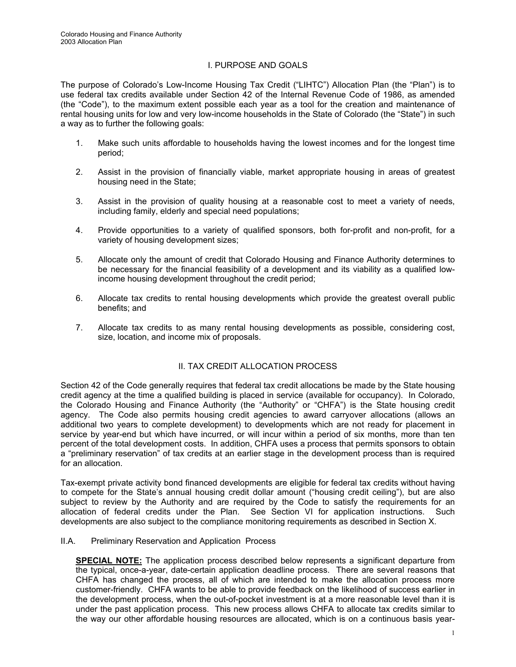# I. PURPOSE AND GOALS

The purpose of Colorado's Low-Income Housing Tax Credit ("LIHTC") Allocation Plan (the "Plan") is to use federal tax credits available under Section 42 of the Internal Revenue Code of 1986, as amended (the "Code"), to the maximum extent possible each year as a tool for the creation and maintenance of rental housing units for low and very low-income households in the State of Colorado (the "State") in such a way as to further the following goals:

- 1. Make such units affordable to households having the lowest incomes and for the longest time period;
- 2. Assist in the provision of financially viable, market appropriate housing in areas of greatest housing need in the State;
- 3. Assist in the provision of quality housing at a reasonable cost to meet a variety of needs, including family, elderly and special need populations;
- 4. Provide opportunities to a variety of qualified sponsors, both for-profit and non-profit, for a variety of housing development sizes;
- 5. Allocate only the amount of credit that Colorado Housing and Finance Authority determines to be necessary for the financial feasibility of a development and its viability as a qualified lowincome housing development throughout the credit period;
- 6. Allocate tax credits to rental housing developments which provide the greatest overall public benefits; and
- 7. Allocate tax credits to as many rental housing developments as possible, considering cost, size, location, and income mix of proposals.

# II. TAX CREDIT ALLOCATION PROCESS

Section 42 of the Code generally requires that federal tax credit allocations be made by the State housing credit agency at the time a qualified building is placed in service (available for occupancy). In Colorado, the Colorado Housing and Finance Authority (the "Authority" or "CHFA") is the State housing credit agency. The Code also permits housing credit agencies to award carryover allocations (allows an additional two years to complete development) to developments which are not ready for placement in service by year-end but which have incurred, or will incur within a period of six months, more than ten percent of the total development costs. In addition, CHFA uses a process that permits sponsors to obtain a "preliminary reservation" of tax credits at an earlier stage in the development process than is required for an allocation.

Tax-exempt private activity bond financed developments are eligible for federal tax credits without having to compete for the State's annual housing credit dollar amount ("housing credit ceiling"), but are also subject to review by the Authority and are required by the Code to satisfy the requirements for an allocation of federal credits under the Plan. See Section VI for application instructions. Such developments are also subject to the compliance monitoring requirements as described in Section X.

#### II.A. Preliminary Reservation and Application Process

**SPECIAL NOTE:** The application process described below represents a significant departure from the typical, once-a-year, date-certain application deadline process. There are several reasons that CHFA has changed the process, all of which are intended to make the allocation process more customer-friendly. CHFA wants to be able to provide feedback on the likelihood of success earlier in the development process, when the out-of-pocket investment is at a more reasonable level than it is under the past application process. This new process allows CHFA to allocate tax credits similar to the way our other affordable housing resources are allocated, which is on a continuous basis year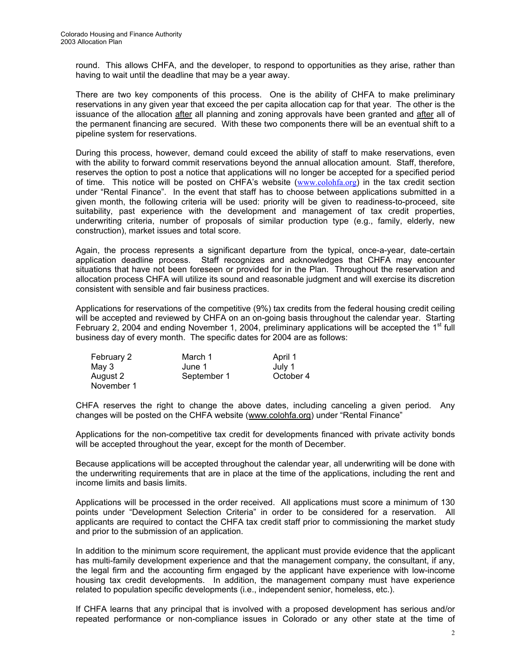round. This allows CHFA, and the developer, to respond to opportunities as they arise, rather than having to wait until the deadline that may be a year away.

There are two key components of this process. One is the ability of CHFA to make preliminary reservations in any given year that exceed the per capita allocation cap for that year. The other is the issuance of the allocation after all planning and zoning approvals have been granted and after all of the permanent financing are secured. With these two components there will be an eventual shift to a pipeline system for reservations.

During this process, however, demand could exceed the ability of staff to make reservations, even with the ability to forward commit reservations beyond the annual allocation amount. Staff, therefore, reserves the option to post a notice that applications will no longer be accepted for a specified period of time. This notice will be posted on CHFA's website  $(www.colohfa.org)$  in the tax credit section under "Rental Finance". In the event that staff has to choose between applications submitted in a given month, the following criteria will be used: priority will be given to readiness-to-proceed, site suitability, past experience with the development and management of tax credit properties, underwriting criteria, number of proposals of similar production type (e.g., family, elderly, new construction), market issues and total score.

Again, the process represents a significant departure from the typical, once-a-year, date-certain application deadline process. Staff recognizes and acknowledges that CHFA may encounter situations that have not been foreseen or provided for in the Plan. Throughout the reservation and allocation process CHFA will utilize its sound and reasonable judgment and will exercise its discretion consistent with sensible and fair business practices.

 Applications for reservations of the competitive (9%) tax credits from the federal housing credit ceiling will be accepted and reviewed by CHFA on an on-going basis throughout the calendar year. Starting February 2, 2004 and ending November 1, 2004, preliminary applications will be accepted the  $1<sup>st</sup>$  full business day of every month. The specific dates for 2004 are as follows:

| February 2 | March 1     | April 1   |
|------------|-------------|-----------|
| May 3      | June 1      | July 1    |
| August 2   | September 1 | October 4 |
| November 1 |             |           |

CHFA reserves the right to change the above dates, including canceling a given period. Any changes will be posted on the CHFA website (www.colohfa.org) under "Rental Finance"

Applications for the non-competitive tax credit for developments financed with private activity bonds will be accepted throughout the year, except for the month of December.

 Because applications will be accepted throughout the calendar year, all underwriting will be done with the underwriting requirements that are in place at the time of the applications, including the rent and income limits and basis limits.

 Applications will be processed in the order received. All applications must score a minimum of 130 points under "Development Selection Criteria" in order to be considered for a reservation. All applicants are required to contact the CHFA tax credit staff prior to commissioning the market study and prior to the submission of an application.

 In addition to the minimum score requirement, the applicant must provide evidence that the applicant has multi-family development experience and that the management company, the consultant, if any, the legal firm and the accounting firm engaged by the applicant have experience with low-income housing tax credit developments. In addition, the management company must have experience related to population specific developments (i.e., independent senior, homeless, etc.).

 If CHFA learns that any principal that is involved with a proposed development has serious and/or repeated performance or non-compliance issues in Colorado or any other state at the time of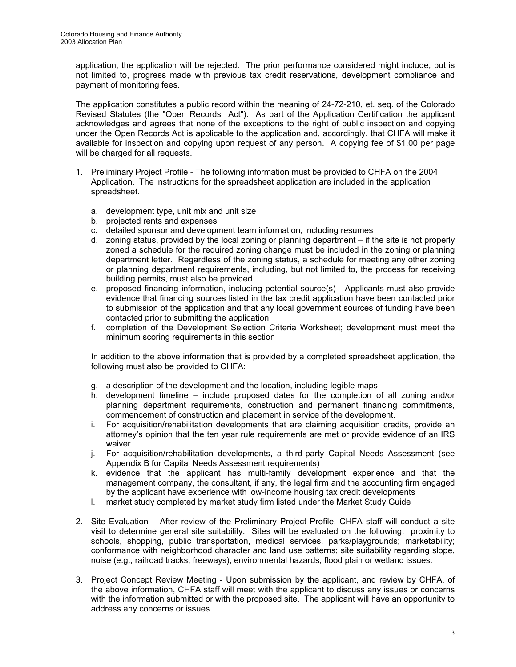application, the application will be rejected. The prior performance considered might include, but is not limited to, progress made with previous tax credit reservations, development compliance and payment of monitoring fees.

The application constitutes a public record within the meaning of 24-72-210, et. seq. of the Colorado Revised Statutes (the "Open Records Act"). As part of the Application Certification the applicant acknowledges and agrees that none of the exceptions to the right of public inspection and copying under the Open Records Act is applicable to the application and, accordingly, that CHFA will make it available for inspection and copying upon request of any person. A copying fee of \$1.00 per page will be charged for all requests.

- 1. Preliminary Project Profile The following information must be provided to CHFA on the 2004 Application. The instructions for the spreadsheet application are included in the application spreadsheet.
	- a. development type, unit mix and unit size
	- b. projected rents and expenses
	- c. detailed sponsor and development team information, including resumes
	- d. zoning status, provided by the local zoning or planning department if the site is not properly zoned a schedule for the required zoning change must be included in the zoning or planning department letter. Regardless of the zoning status, a schedule for meeting any other zoning or planning department requirements, including, but not limited to, the process for receiving building permits, must also be provided.
	- e. proposed financing information, including potential source(s) Applicants must also provide evidence that financing sources listed in the tax credit application have been contacted prior to submission of the application and that any local government sources of funding have been contacted prior to submitting the application
	- f. completion of the Development Selection Criteria Worksheet; development must meet the minimum scoring requirements in this section

In addition to the above information that is provided by a completed spreadsheet application, the following must also be provided to CHFA:

- g. a description of the development and the location, including legible maps
- h. development timeline include proposed dates for the completion of all zoning and/or planning department requirements, construction and permanent financing commitments, commencement of construction and placement in service of the development.
- i. For acquisition/rehabilitation developments that are claiming acquisition credits, provide an attorney's opinion that the ten year rule requirements are met or provide evidence of an IRS waiver
- j. For acquisition/rehabilitation developments, a third-party Capital Needs Assessment (see Appendix B for Capital Needs Assessment requirements)
- k. evidence that the applicant has multi-family development experience and that the management company, the consultant, if any, the legal firm and the accounting firm engaged by the applicant have experience with low-income housing tax credit developments
- l. market study completed by market study firm listed under the Market Study Guide
- 2. Site Evaluation After review of the Preliminary Project Profile, CHFA staff will conduct a site visit to determine general site suitability. Sites will be evaluated on the following: proximity to schools, shopping, public transportation, medical services, parks/playgrounds; marketability; conformance with neighborhood character and land use patterns; site suitability regarding slope, noise (e.g., railroad tracks, freeways), environmental hazards, flood plain or wetland issues.
- 3. Project Concept Review Meeting Upon submission by the applicant, and review by CHFA, of the above information, CHFA staff will meet with the applicant to discuss any issues or concerns with the information submitted or with the proposed site. The applicant will have an opportunity to address any concerns or issues.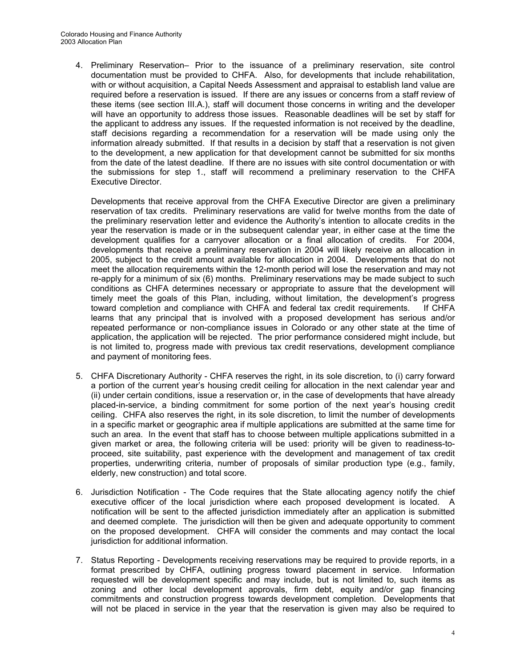4. Preliminary Reservation– Prior to the issuance of a preliminary reservation, site control documentation must be provided to CHFA. Also, for developments that include rehabilitation, with or without acquisition, a Capital Needs Assessment and appraisal to establish land value are required before a reservation is issued. If there are any issues or concerns from a staff review of these items (see section III.A.), staff will document those concerns in writing and the developer will have an opportunity to address those issues. Reasonable deadlines will be set by staff for the applicant to address any issues. If the requested information is not received by the deadline, staff decisions regarding a recommendation for a reservation will be made using only the information already submitted. If that results in a decision by staff that a reservation is not given to the development, a new application for that development cannot be submitted for six months from the date of the latest deadline. If there are no issues with site control documentation or with the submissions for step 1., staff will recommend a preliminary reservation to the CHFA Executive Director.

 Developments that receive approval from the CHFA Executive Director are given a preliminary reservation of tax credits. Preliminary reservations are valid for twelve months from the date of the preliminary reservation letter and evidence the Authority's intention to allocate credits in the year the reservation is made or in the subsequent calendar year, in either case at the time the development qualifies for a carryover allocation or a final allocation of credits. For 2004, developments that receive a preliminary reservation in 2004 will likely receive an allocation in 2005, subject to the credit amount available for allocation in 2004. Developments that do not meet the allocation requirements within the 12-month period will lose the reservation and may not re-apply for a minimum of six (6) months. Preliminary reservations may be made subject to such conditions as CHFA determines necessary or appropriate to assure that the development will timely meet the goals of this Plan, including, without limitation, the development's progress toward completion and compliance with CHFA and federal tax credit requirements. If CHFA learns that any principal that is involved with a proposed development has serious and/or repeated performance or non-compliance issues in Colorado or any other state at the time of application, the application will be rejected. The prior performance considered might include, but is not limited to, progress made with previous tax credit reservations, development compliance and payment of monitoring fees.

- 5. CHFA Discretionary Authority CHFA reserves the right, in its sole discretion, to (i) carry forward a portion of the current year's housing credit ceiling for allocation in the next calendar year and (ii) under certain conditions, issue a reservation or, in the case of developments that have already placed-in-service, a binding commitment for some portion of the next year's housing credit ceiling. CHFA also reserves the right, in its sole discretion, to limit the number of developments in a specific market or geographic area if multiple applications are submitted at the same time for such an area. In the event that staff has to choose between multiple applications submitted in a given market or area, the following criteria will be used: priority will be given to readiness-toproceed, site suitability, past experience with the development and management of tax credit properties, underwriting criteria, number of proposals of similar production type (e.g., family, elderly, new construction) and total score.
- 6. Jurisdiction Notification The Code requires that the State allocating agency notify the chief executive officer of the local jurisdiction where each proposed development is located. A notification will be sent to the affected jurisdiction immediately after an application is submitted and deemed complete. The jurisdiction will then be given and adequate opportunity to comment on the proposed development. CHFA will consider the comments and may contact the local jurisdiction for additional information.
- 7. Status Reporting Developments receiving reservations may be required to provide reports, in a format prescribed by CHFA, outlining progress toward placement in service. Information requested will be development specific and may include, but is not limited to, such items as zoning and other local development approvals, firm debt, equity and/or gap financing commitments and construction progress towards development completion. Developments that will not be placed in service in the year that the reservation is given may also be required to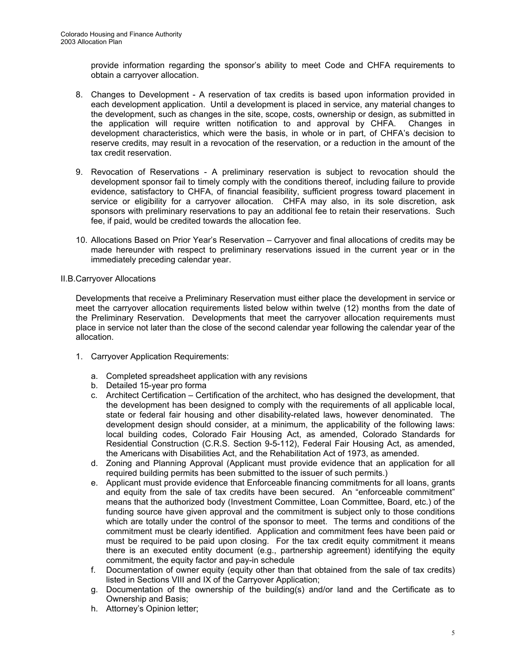provide information regarding the sponsor's ability to meet Code and CHFA requirements to obtain a carryover allocation.

- 8. Changes to Development A reservation of tax credits is based upon information provided in each development application. Until a development is placed in service, any material changes to the development, such as changes in the site, scope, costs, ownership or design, as submitted in the application will require written notification to and approval by CHFA. Changes in development characteristics, which were the basis, in whole or in part, of CHFA's decision to reserve credits, may result in a revocation of the reservation, or a reduction in the amount of the tax credit reservation.
- 9. Revocation of Reservations A preliminary reservation is subject to revocation should the development sponsor fail to timely comply with the conditions thereof, including failure to provide evidence, satisfactory to CHFA, of financial feasibility, sufficient progress toward placement in service or eligibility for a carryover allocation. CHFA may also, in its sole discretion, ask sponsors with preliminary reservations to pay an additional fee to retain their reservations. Such fee, if paid, would be credited towards the allocation fee.
- 10. Allocations Based on Prior Year's Reservation Carryover and final allocations of credits may be made hereunder with respect to preliminary reservations issued in the current year or in the immediately preceding calendar year.

# II.B.Carryover Allocations

Developments that receive a Preliminary Reservation must either place the development in service or meet the carryover allocation requirements listed below within twelve (12) months from the date of the Preliminary Reservation. Developments that meet the carryover allocation requirements must place in service not later than the close of the second calendar year following the calendar year of the allocation.

- 1. Carryover Application Requirements:
	- a. Completed spreadsheet application with any revisions
	- b. Detailed 15-year pro forma
	- c. Architect Certification Certification of the architect, who has designed the development, that the development has been designed to comply with the requirements of all applicable local, state or federal fair housing and other disability-related laws, however denominated. The development design should consider, at a minimum, the applicability of the following laws: local building codes, Colorado Fair Housing Act, as amended, Colorado Standards for Residential Construction (C.R.S. Section 9-5-112), Federal Fair Housing Act, as amended, the Americans with Disabilities Act, and the Rehabilitation Act of 1973, as amended.
	- d. Zoning and Planning Approval (Applicant must provide evidence that an application for all required building permits has been submitted to the issuer of such permits.)
	- e. Applicant must provide evidence that Enforceable financing commitments for all loans, grants and equity from the sale of tax credits have been secured. An "enforceable commitment" means that the authorized body (Investment Committee, Loan Committee, Board, etc.) of the funding source have given approval and the commitment is subject only to those conditions which are totally under the control of the sponsor to meet. The terms and conditions of the commitment must be clearly identified. Application and commitment fees have been paid or must be required to be paid upon closing. For the tax credit equity commitment it means there is an executed entity document (e.g., partnership agreement) identifying the equity commitment, the equity factor and pay-in schedule
	- f. Documentation of owner equity (equity other than that obtained from the sale of tax credits) listed in Sections VIII and IX of the Carryover Application;
	- g. Documentation of the ownership of the building(s) and/or land and the Certificate as to Ownership and Basis;
	- h. Attorney's Opinion letter;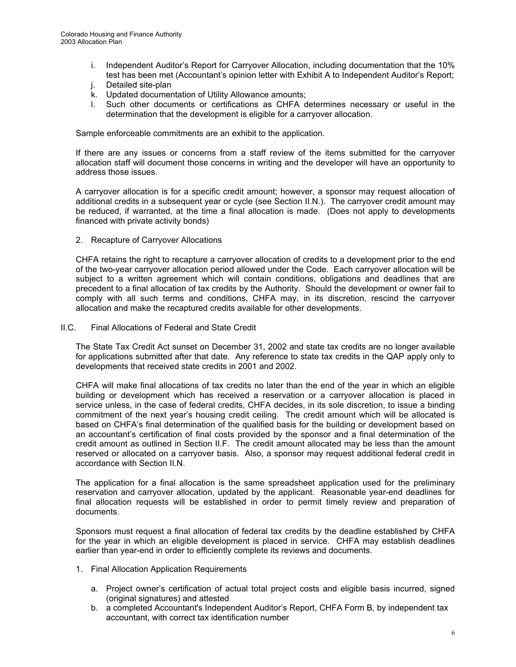- i. Independent Auditor's Report for Carryover Allocation, including documentation that the 10% test has been met (Accountant's opinion letter with Exhibit A to Independent Auditor's Report;
- j. Detailed site-plan
- k. Updated documentation of Utility Allowance amounts;
- l. Such other documents or certifications as CHFA determines necessary or useful in the determination that the development is eligible for a carryover allocation.

Sample enforceable commitments are an exhibit to the application.

If there are any issues or concerns from a staff review of the items submitted for the carryover allocation staff will document those concerns in writing and the developer will have an opportunity to address those issues.

A carryover allocation is for a specific credit amount; however, a sponsor may request allocation of additional credits in a subsequent year or cycle (see Section II.N.). The carryover credit amount may be reduced, if warranted, at the time a final allocation is made. (Does not apply to developments financed with private activity bonds)

2. Recapture of Carryover Allocations

CHFA retains the right to recapture a carryover allocation of credits to a development prior to the end of the two-year carryover allocation period allowed under the Code. Each carryover allocation will be subject to a written agreement which will contain conditions, obligations and deadlines that are precedent to a final allocation of tax credits by the Authority. Should the development or owner fail to comply with all such terms and conditions, CHFA may, in its discretion, rescind the carryover allocation and make the recaptured credits available for other developments.

II.C. Final Allocations of Federal and State Credit

The State Tax Credit Act sunset on December 31, 2002 and state tax credits are no longer available for applications submitted after that date. Any reference to state tax credits in the QAP apply only to developments that received state credits in 2001 and 2002.

CHFA will make final allocations of tax credits no later than the end of the year in which an eligible building or development which has received a reservation or a carryover allocation is placed in service unless, in the case of federal credits, CHFA decides, in its sole discretion, to issue a binding commitment of the next year's housing credit ceiling. The credit amount which will be allocated is based on CHFA's final determination of the qualified basis for the building or development based on an accountant's certification of final costs provided by the sponsor and a final determination of the credit amount as outlined in Section II.F. The credit amount allocated may be less than the amount reserved or allocated on a carryover basis. Also, a sponsor may request additional federal credit in accordance with Section II.N.

The application for a final allocation is the same spreadsheet application used for the preliminary reservation and carryover allocation, updated by the applicant. Reasonable year-end deadlines for final allocation requests will be established in order to permit timely review and preparation of documents.

Sponsors must request a final allocation of federal tax credits by the deadline established by CHFA for the year in which an eligible development is placed in service. CHFA may establish deadlines earlier than year-end in order to efficiently complete its reviews and documents.

- 1. Final Allocation Application Requirements
	- a. Project owner's certification of actual total project costs and eligible basis incurred, signed (original signatures) and attested
	- b. a completed Accountant's Independent Auditor's Report, CHFA Form B*,* by independent tax accountant, with correct tax identification number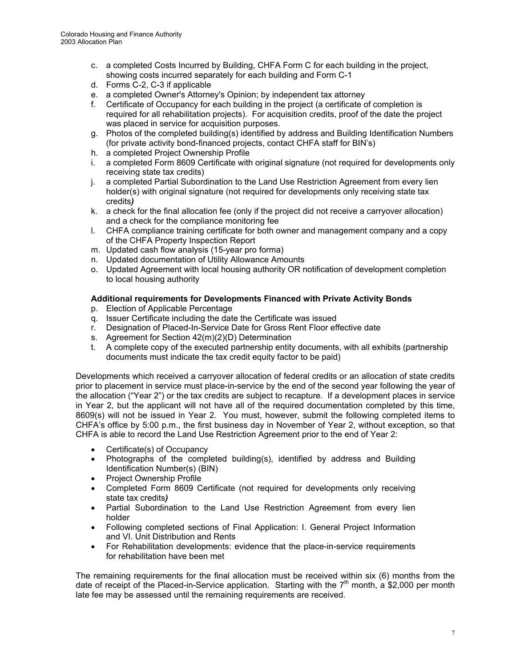- c. a completed Costs Incurred by Building, CHFA Form C for each building in the project, showing costs incurred separately for each building and Form C-1
- d. Forms C-2, C-3 if applicable
- e. a completed Owner's Attorney's Opinion; by independent tax attorney
- f. Certificate of Occupancy for each building in the project (a certificate of completion is required for all rehabilitation projects). For acquisition credits, proof of the date the project was placed in service for acquisition purposes.
- g. Photos of the completed building(s) identified by address and Building Identification Numbers (for private activity bond-financed projects, contact CHFA staff for BIN's)
- h. a completed Project Ownership Profile
- i. a completed Form 8609 Certificate with original signature (not required for developments only receiving state tax credits)
- j. a completed Partial Subordination to the Land Use Restriction Agreement from every lien holder(s) with original signature (not required for developments only receiving state tax credits*)*
- k. a check for the final allocation fee (only if the project did not receive a carryover allocation) and a check for the compliance monitoring fee
- l. CHFA compliance training certificate for both owner and management company and a copy of the CHFA Property Inspection Report
- m. Updated cash flow analysis (15-year pro forma)
- n. Updated documentation of Utility Allowance Amounts
- o. Updated Agreement with local housing authority OR notification of development completion to local housing authority

# **Additional requirements for Developments Financed with Private Activity Bonds**

- p. Election of Applicable Percentage
- q. Issuer Certificate including the date the Certificate was issued
- r. Designation of Placed-In-Service Date for Gross Rent Floor effective date
- s. Agreement for Section 42(m)(2)(D) Determination
- t. A complete copy of the executed partnership entity documents, with all exhibits (partnership documents must indicate the tax credit equity factor to be paid)

Developments which received a carryover allocation of federal credits or an allocation of state credits prior to placement in service must place-in-service by the end of the second year following the year of the allocation ("Year 2") or the tax credits are subject to recapture. If a development places in service in Year 2, but the applicant will not have all of the required documentation completed by this time, 8609(s) will not be issued in Year 2. You must, however, submit the following completed items to CHFA's office by 5:00 p.m., the first business day in November of Year 2, without exception, so that CHFA is able to record the Land Use Restriction Agreement prior to the end of Year 2:

- Certificate(s) of Occupancy
- Photographs of the completed building(s), identified by address and Building Identification Number(s) (BIN)
- Project Ownership Profile
- Completed Form 8609 Certificate (not required for developments only receiving state tax credits*)*
- Partial Subordination to the Land Use Restriction Agreement from every lien holder
- Following completed sections of Final Application: I. General Project Information and VI. Unit Distribution and Rents
- For Rehabilitation developments: evidence that the place-in-service requirements for rehabilitation have been met

The remaining requirements for the final allocation must be received within six (6) months from the date of receipt of the Placed-in-Service application. Starting with the  $7<sup>th</sup>$  month, a \$2,000 per month late fee may be assessed until the remaining requirements are received.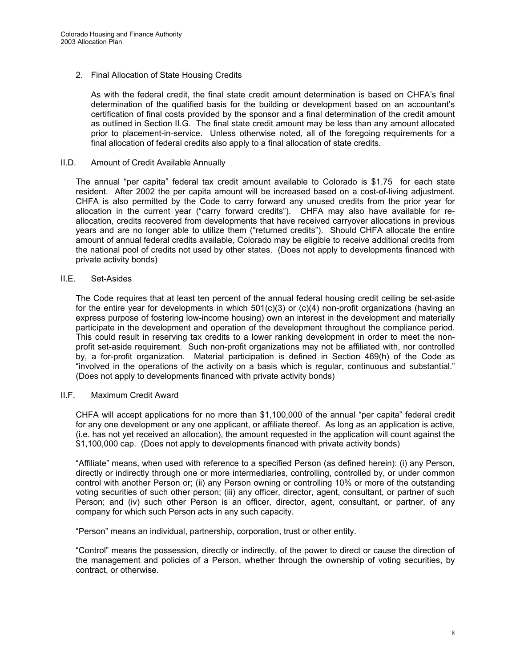# 2. Final Allocation of State Housing Credits

As with the federal credit, the final state credit amount determination is based on CHFA's final determination of the qualified basis for the building or development based on an accountant's certification of final costs provided by the sponsor and a final determination of the credit amount as outlined in Section II.G. The final state credit amount may be less than any amount allocated prior to placement-in-service. Unless otherwise noted, all of the foregoing requirements for a final allocation of federal credits also apply to a final allocation of state credits.

## II.D. Amount of Credit Available Annually

 The annual "per capita" federal tax credit amount available to Colorado is \$1.75 for each state resident. After 2002 the per capita amount will be increased based on a cost-of-living adjustment. CHFA is also permitted by the Code to carry forward any unused credits from the prior year for allocation in the current year ("carry forward credits"). CHFA may also have available for reallocation, credits recovered from developments that have received carryover allocations in previous years and are no longer able to utilize them ("returned credits"). Should CHFA allocate the entire amount of annual federal credits available, Colorado may be eligible to receive additional credits from the national pool of credits not used by other states. (Does not apply to developments financed with private activity bonds)

# II.E. Set-Asides

 The Code requires that at least ten percent of the annual federal housing credit ceiling be set-aside for the entire year for developments in which 501(c)(3) or (c)(4) non-profit organizations (having an express purpose of fostering low-income housing) own an interest in the development and materially participate in the development and operation of the development throughout the compliance period. This could result in reserving tax credits to a lower ranking development in order to meet the nonprofit set-aside requirement. Such non-profit organizations may not be affiliated with, nor controlled by, a for-profit organization. Material participation is defined in Section 469(h) of the Code as "involved in the operations of the activity on a basis which is regular, continuous and substantial." (Does not apply to developments financed with private activity bonds)

## II.F. Maximum Credit Award

 CHFA will accept applications for no more than \$1,100,000 of the annual "per capita" federal credit for any one development or any one applicant, or affiliate thereof. As long as an application is active, (i.e. has not yet received an allocation), the amount requested in the application will count against the \$1,100,000 cap. (Does not apply to developments financed with private activity bonds)

 "Affiliate" means, when used with reference to a specified Person (as defined herein): (i) any Person, directly or indirectly through one or more intermediaries, controlling, controlled by, or under common control with another Person or; (ii) any Person owning or controlling 10% or more of the outstanding voting securities of such other person; (iii) any officer, director, agent, consultant, or partner of such Person; and (iv) such other Person is an officer, director, agent, consultant, or partner, of any company for which such Person acts in any such capacity.

"Person" means an individual, partnership, corporation, trust or other entity.

 "Control" means the possession, directly or indirectly, of the power to direct or cause the direction of the management and policies of a Person, whether through the ownership of voting securities, by contract, or otherwise.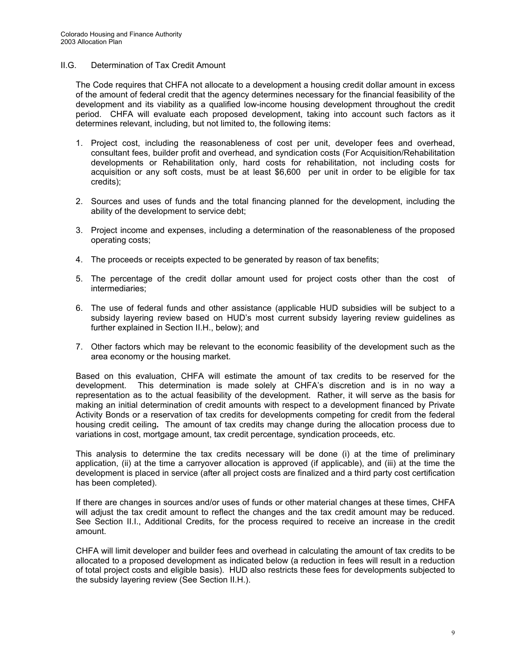# II.G. Determination of Tax Credit Amount

 The Code requires that CHFA not allocate to a development a housing credit dollar amount in excess of the amount of federal credit that the agency determines necessary for the financial feasibility of the development and its viability as a qualified low-income housing development throughout the credit period. CHFA will evaluate each proposed development, taking into account such factors as it determines relevant, including, but not limited to, the following items:

- 1. Project cost, including the reasonableness of cost per unit, developer fees and overhead, consultant fees, builder profit and overhead, and syndication costs (For Acquisition/Rehabilitation developments or Rehabilitation only, hard costs for rehabilitation, not including costs for acquisition or any soft costs, must be at least \$6,600 per unit in order to be eligible for tax credits);
- 2. Sources and uses of funds and the total financing planned for the development, including the ability of the development to service debt;
- 3. Project income and expenses, including a determination of the reasonableness of the proposed operating costs;
- 4. The proceeds or receipts expected to be generated by reason of tax benefits;
- 5. The percentage of the credit dollar amount used for project costs other than the cost of intermediaries;
- 6. The use of federal funds and other assistance (applicable HUD subsidies will be subject to a subsidy layering review based on HUD's most current subsidy layering review guidelines as further explained in Section II.H., below); and
- 7. Other factors which may be relevant to the economic feasibility of the development such as the area economy or the housing market.

 Based on this evaluation, CHFA will estimate the amount of tax credits to be reserved for the development. This determination is made solely at CHFA's discretion and is in no way a representation as to the actual feasibility of the development. Rather, it will serve as the basis for making an initial determination of credit amounts with respect to a development financed by Private Activity Bonds or a reservation of tax credits for developments competing for credit from the federal housing credit ceiling*.* The amount of tax credits may change during the allocation process due to variations in cost, mortgage amount, tax credit percentage, syndication proceeds, etc.

 This analysis to determine the tax credits necessary will be done (i) at the time of preliminary application, (ii) at the time a carryover allocation is approved (if applicable), and (iii) at the time the development is placed in service (after all project costs are finalized and a third party cost certification has been completed).

 If there are changes in sources and/or uses of funds or other material changes at these times, CHFA will adjust the tax credit amount to reflect the changes and the tax credit amount may be reduced. See Section II.I., Additional Credits, for the process required to receive an increase in the credit amount.

 CHFA will limit developer and builder fees and overhead in calculating the amount of tax credits to be allocated to a proposed development as indicated below (a reduction in fees will result in a reduction of total project costs and eligible basis). HUD also restricts these fees for developments subjected to the subsidy layering review (See Section II.H.).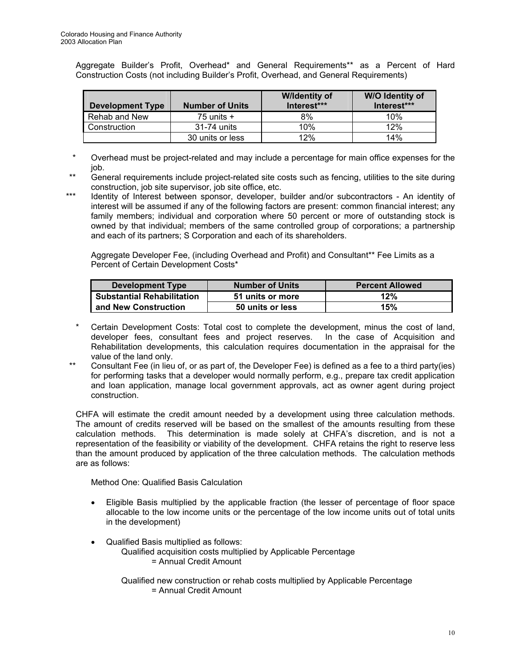Aggregate Builder's Profit, Overhead\* and General Requirements\*\* as a Percent of Hard Construction Costs (not including Builder's Profit, Overhead, and General Requirements)

|                         |                        | <b>Wildentity of</b> | <b>W/O Identity of</b> |
|-------------------------|------------------------|----------------------|------------------------|
| <b>Development Type</b> | <b>Number of Units</b> | Interest***          | Interest***            |
| Rehab and New           | 75 units $+$           | 8%                   | 10%                    |
| <b>Construction</b>     | 31-74 units            | 10%                  | 12%                    |
|                         | 30 units or less       | 12%                  | 14%                    |

 \* Overhead must be project-related and may include a percentage for main office expenses for the job.

- \*\* General requirements include project-related site costs such as fencing, utilities to the site during construction, job site supervisor, job site office, etc.
- \*\*\* Identity of Interest between sponsor, developer, builder and/or subcontractors An identity of interest will be assumed if any of the following factors are present: common financial interest; any family members; individual and corporation where 50 percent or more of outstanding stock is owned by that individual; members of the same controlled group of corporations; a partnership and each of its partners; S Corporation and each of its shareholders.

Aggregate Developer Fee, (including Overhead and Profit) and Consultant\*\* Fee Limits as a Percent of Certain Development Costs\*

| Development Type                  | <b>Number of Units</b> | <b>Percent Allowed</b> |
|-----------------------------------|------------------------|------------------------|
| <b>Substantial Rehabilitation</b> | 51 units or more       | 12%                    |
| and New Construction              | 50 units or less       | 15%                    |

- \* Certain Development Costs: Total cost to complete the development, minus the cost of land, developer fees, consultant fees and project reserves. In the case of Acquisition and Rehabilitation developments, this calculation requires documentation in the appraisal for the value of the land only.
- \*\* Consultant Fee (in lieu of, or as part of, the Developer Fee) is defined as a fee to a third party(ies) for performing tasks that a developer would normally perform, e.g., prepare tax credit application and loan application, manage local government approvals, act as owner agent during project construction.

 CHFA will estimate the credit amount needed by a development using three calculation methods. The amount of credits reserved will be based on the smallest of the amounts resulting from these calculation methods. This determination is made solely at CHFA's discretion, and is not a representation of the feasibility or viability of the development. CHFA retains the right to reserve less than the amount produced by application of the three calculation methods. The calculation methods are as follows:

Method One: Qualified Basis Calculation

- Eligible Basis multiplied by the applicable fraction (the lesser of percentage of floor space allocable to the low income units or the percentage of the low income units out of total units in the development)
- Qualified Basis multiplied as follows:
	- Qualified acquisition costs multiplied by Applicable Percentage
		- = Annual Credit Amount

 Qualified new construction or rehab costs multiplied by Applicable Percentage = Annual Credit Amount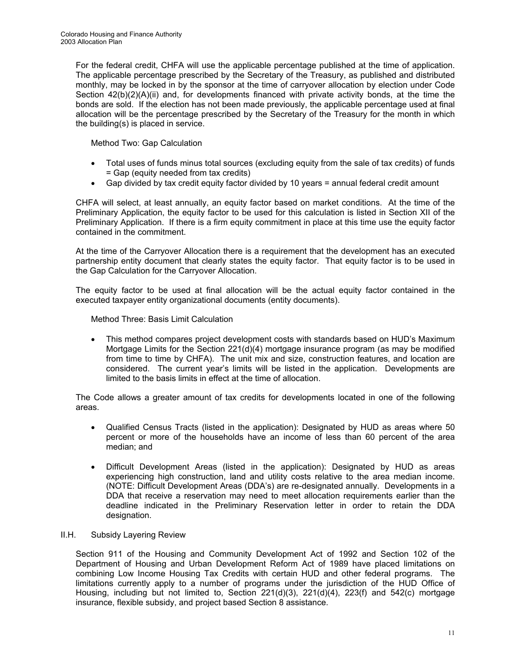For the federal credit, CHFA will use the applicable percentage published at the time of application. The applicable percentage prescribed by the Secretary of the Treasury, as published and distributed monthly, may be locked in by the sponsor at the time of carryover allocation by election under Code Section 42(b)(2)(A)(ii) and, for developments financed with private activity bonds, at the time the bonds are sold. If the election has not been made previously, the applicable percentage used at final allocation will be the percentage prescribed by the Secretary of the Treasury for the month in which the building(s) is placed in service.

Method Two: Gap Calculation

- Total uses of funds minus total sources (excluding equity from the sale of tax credits) of funds = Gap (equity needed from tax credits)
- Gap divided by tax credit equity factor divided by 10 years = annual federal credit amount

 CHFA will select, at least annually, an equity factor based on market conditions. At the time of the Preliminary Application, the equity factor to be used for this calculation is listed in Section XII of the Preliminary Application. If there is a firm equity commitment in place at this time use the equity factor contained in the commitment.

 At the time of the Carryover Allocation there is a requirement that the development has an executed partnership entity document that clearly states the equity factor. That equity factor is to be used in the Gap Calculation for the Carryover Allocation.

 The equity factor to be used at final allocation will be the actual equity factor contained in the executed taxpayer entity organizational documents (entity documents).

Method Three: Basis Limit Calculation

• This method compares project development costs with standards based on HUD's Maximum Mortgage Limits for the Section 221(d)(4) mortgage insurance program (as may be modified from time to time by CHFA). The unit mix and size, construction features, and location are considered. The current year's limits will be listed in the application. Developments are limited to the basis limits in effect at the time of allocation.

 The Code allows a greater amount of tax credits for developments located in one of the following areas.

- Qualified Census Tracts (listed in the application): Designated by HUD as areas where 50 percent or more of the households have an income of less than 60 percent of the area median; and
- Difficult Development Areas (listed in the application): Designated by HUD as areas experiencing high construction, land and utility costs relative to the area median income. (NOTE: Difficult Development Areas (DDA's) are re-designated annually. Developments in a DDA that receive a reservation may need to meet allocation requirements earlier than the deadline indicated in the Preliminary Reservation letter in order to retain the DDA designation.

#### II.H. Subsidy Layering Review

 Section 911 of the Housing and Community Development Act of 1992 and Section 102 of the Department of Housing and Urban Development Reform Act of 1989 have placed limitations on combining Low Income Housing Tax Credits with certain HUD and other federal programs. The limitations currently apply to a number of programs under the jurisdiction of the HUD Office of Housing, including but not limited to, Section 221(d)(3), 221(d)(4), 223(f) and 542(c) mortgage insurance, flexible subsidy, and project based Section 8 assistance.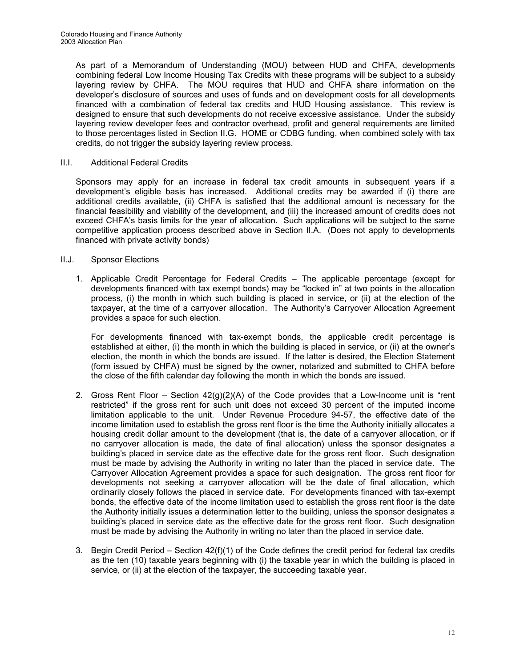As part of a Memorandum of Understanding (MOU) between HUD and CHFA, developments combining federal Low Income Housing Tax Credits with these programs will be subject to a subsidy layering review by CHFA. The MOU requires that HUD and CHFA share information on the developer's disclosure of sources and uses of funds and on development costs for all developments financed with a combination of federal tax credits and HUD Housing assistance.This review is designed to ensure that such developments do not receive excessive assistance. Under the subsidy layering review developer fees and contractor overhead, profit and general requirements are limited to those percentages listed in Section II.G. HOME or CDBG funding, when combined solely with tax credits, do not trigger the subsidy layering review process.

# II.I. Additional Federal Credits

 Sponsors may apply for an increase in federal tax credit amounts in subsequent years if a development's eligible basis has increased. Additional credits may be awarded if (i) there are additional credits available, (ii) CHFA is satisfied that the additional amount is necessary for the financial feasibility and viability of the development, and (iii) the increased amount of credits does not exceed CHFA's basis limits for the year of allocation. Such applications will be subject to the same competitive application process described above in Section II.A. (Does not apply to developments financed with private activity bonds)

# II.J. Sponsor Elections

1. Applicable Credit Percentage for Federal Credits – The applicable percentage (except for developments financed with tax exempt bonds) may be "locked in" at two points in the allocation process, (i) the month in which such building is placed in service, or (ii) at the election of the taxpayer, at the time of a carryover allocation. The Authority's Carryover Allocation Agreement provides a space for such election.

 For developments financed with tax-exempt bonds, the applicable credit percentage is established at either, (i) the month in which the building is placed in service, or (ii) at the owner's election, the month in which the bonds are issued. If the latter is desired, the Election Statement (form issued by CHFA) must be signed by the owner, notarized and submitted to CHFA before the close of the fifth calendar day following the month in which the bonds are issued.

- 2. Gross Rent Floor *–* Section 42(g)(2)(A) of the Code provides that a Low-Income unit is "rent restricted" if the gross rent for such unit does not exceed 30 percent of the imputed income limitation applicable to the unit. Under Revenue Procedure 94-57, the effective date of the income limitation used to establish the gross rent floor is the time the Authority initially allocates a housing credit dollar amount to the development (that is, the date of a carryover allocation, or if no carryover allocation is made, the date of final allocation) unless the sponsor designates a building's placed in service date as the effective date for the gross rent floor. Such designation must be made by advising the Authority in writing no later than the placed in service date. The Carryover Allocation Agreement provides a space for such designation. The gross rent floor for developments not seeking a carryover allocation will be the date of final allocation, which ordinarily closely follows the placed in service date. For developments financed with tax-exempt bonds, the effective date of the income limitation used to establish the gross rent floor is the date the Authority initially issues a determination letter to the building, unless the sponsor designates a building's placed in service date as the effective date for the gross rent floor. Such designation must be made by advising the Authority in writing no later than the placed in service date.
- 3. Begin Credit PeriodSection 42(f)(1) of the Code defines the credit period for federal tax credits as the ten (10) taxable years beginning with (i) the taxable year in which the building is placed in service, or (ii) at the election of the taxpayer, the succeeding taxable year.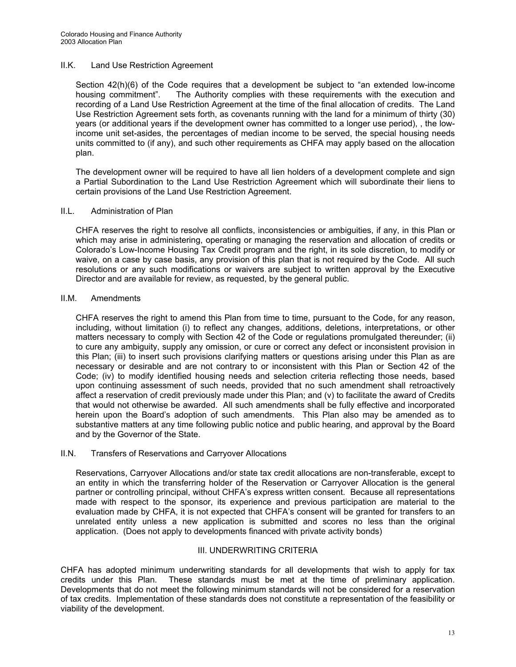# II.K. Land Use Restriction Agreement

 Section 42(h)(6) of the Code requires that a development be subject to "an extended low-income housing commitment". The Authority complies with these requirements with the execution and recording of a Land Use Restriction Agreement at the time of the final allocation of credits. The Land Use Restriction Agreement sets forth, as covenants running with the land for a minimum of thirty (30) years (or additional years if the development owner has committed to a longer use period), , the lowincome unit set-asides, the percentages of median income to be served, the special housing needs units committed to (if any), and such other requirements as CHFA may apply based on the allocation plan.

 The development owner will be required to have all lien holders of a development complete and sign a Partial Subordination to the Land Use Restriction Agreement which will subordinate their liens to certain provisions of the Land Use Restriction Agreement.

#### II.L. Administration of Plan

 CHFA reserves the right to resolve all conflicts, inconsistencies or ambiguities, if any, in this Plan or which may arise in administering, operating or managing the reservation and allocation of credits or Colorado's Low-Income Housing Tax Credit program and the right, in its sole discretion, to modify or waive, on a case by case basis, any provision of this plan that is not required by the Code. All such resolutions or any such modifications or waivers are subject to written approval by the Executive Director and are available for review, as requested, by the general public.

# II.M. Amendments

 CHFA reserves the right to amend this Plan from time to time, pursuant to the Code, for any reason, including, without limitation (i) to reflect any changes, additions, deletions, interpretations, or other matters necessary to comply with Section 42 of the Code or regulations promulgated thereunder; (ii) to cure any ambiguity, supply any omission, or cure or correct any defect or inconsistent provision in this Plan; (iii) to insert such provisions clarifying matters or questions arising under this Plan as are necessary or desirable and are not contrary to or inconsistent with this Plan or Section 42 of the Code; (iv) to modify identified housing needs and selection criteria reflecting those needs, based upon continuing assessment of such needs, provided that no such amendment shall retroactively affect a reservation of credit previously made under this Plan; and (v) to facilitate the award of Credits that would not otherwise be awarded. All such amendments shall be fully effective and incorporated herein upon the Board's adoption of such amendments. This Plan also may be amended as to substantive matters at any time following public notice and public hearing, and approval by the Board and by the Governor of the State.

#### II.N. Transfers of Reservations and Carryover Allocations

 Reservations, Carryover Allocations and/or state tax credit allocations are non-transferable, except to an entity in which the transferring holder of the Reservation or Carryover Allocation is the general partner or controlling principal, without CHFA's express written consent. Because all representations made with respect to the sponsor, its experience and previous participation are material to the evaluation made by CHFA, it is not expected that CHFA's consent will be granted for transfers to an unrelated entity unless a new application is submitted and scores no less than the original application. (Does not apply to developments financed with private activity bonds)

#### III. UNDERWRITING CRITERIA

CHFA has adopted minimum underwriting standards for all developments that wish to apply for tax credits under this Plan. These standards must be met at the time of preliminary application. Developments that do not meet the following minimum standards will not be considered for a reservation of tax credits. Implementation of these standards does not constitute a representation of the feasibility or viability of the development.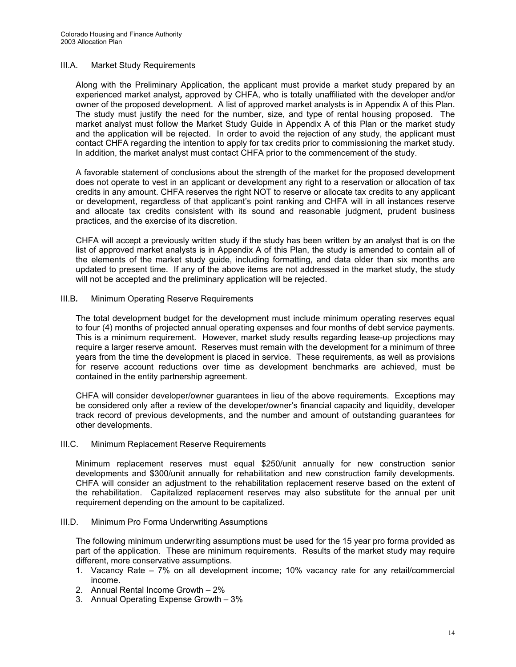## III.A. Market Study Requirements

 Along with the Preliminary Application, the applicant must provide a market study prepared by an experienced market analyst*,* approved by CHFA, who is totally unaffiliated with the developer and/or owner of the proposed development. A list of approved market analysts is in Appendix A of this Plan. The study must justify the need for the number, size, and type of rental housing proposed. The market analyst must follow the Market Study Guide in Appendix A of this Plan or the market study and the application will be rejected. In order to avoid the rejection of any study, the applicant must contact CHFA regarding the intention to apply for tax credits prior to commissioning the market study. In addition, the market analyst must contact CHFA prior to the commencement of the study.

A favorable statement of conclusions about the strength of the market for the proposed development does not operate to vest in an applicant or development any right to a reservation or allocation of tax credits in any amount. CHFA reserves the right NOT to reserve or allocate tax credits to any applicant or development, regardless of that applicant's point ranking and CHFA will in all instances reserve and allocate tax credits consistent with its sound and reasonable judgment, prudent business practices, and the exercise of its discretion.

 CHFA will accept a previously written study if the study has been written by an analyst that is on the list of approved market analysts is in Appendix A of this Plan, the study is amended to contain all of the elements of the market study guide, including formatting, and data older than six months are updated to present time. If any of the above items are not addressed in the market study, the study will not be accepted and the preliminary application will be rejected.

# III.B*.* Minimum Operating Reserve Requirements

 The total development budget for the development must include minimum operating reserves equal to four (4) months of projected annual operating expenses and four months of debt service payments. This is a minimum requirement. However, market study results regarding lease-up projections may require a larger reserve amount. Reserves must remain with the development for a minimum of three years from the time the development is placed in service. These requirements, as well as provisions for reserve account reductions over time as development benchmarks are achieved, must be contained in the entity partnership agreement.

 CHFA will consider developer/owner guarantees in lieu of the above requirements. Exceptions may be considered only after a review of the developer/owner's financial capacity and liquidity, developer track record of previous developments, and the number and amount of outstanding guarantees for other developments.

#### III.C. Minimum Replacement Reserve Requirements

 Minimum replacement reserves must equal \$250/unit annually for new construction senior developments and \$300/unit annually for rehabilitation and new construction family developments. CHFA will consider an adjustment to the rehabilitation replacement reserve based on the extent of the rehabilitation. Capitalized replacement reserves may also substitute for the annual per unit requirement depending on the amount to be capitalized.

#### III.D. Minimum Pro Forma Underwriting Assumptions

 The following minimum underwriting assumptions must be used for the 15 year pro forma provided as part of the application. These are minimum requirements. Results of the market study may require different, more conservative assumptions.

- 1. Vacancy Rate 7% on all development income; 10% vacancy rate for any retail/commercial income.
- 2. Annual Rental Income Growth 2%
- 3. Annual Operating Expense Growth 3%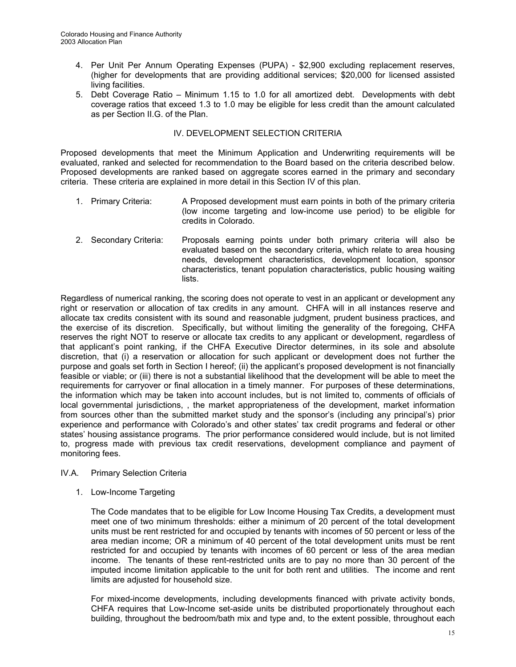- 4. Per Unit Per Annum Operating Expenses (PUPA) \$2,900 excluding replacement reserves, (higher for developments that are providing additional services; \$20,000 for licensed assisted living facilities.
- 5. Debt Coverage Ratio Minimum 1.15 to 1.0 for all amortized debt. Developments with debt coverage ratios that exceed 1.3 to 1.0 may be eligible for less credit than the amount calculated as per Section II.G. of the Plan.

# IV. DEVELOPMENT SELECTION CRITERIA

Proposed developments that meet the Minimum Application and Underwriting requirements will be evaluated, ranked and selected for recommendation to the Board based on the criteria described below. Proposed developments are ranked based on aggregate scores earned in the primary and secondary criteria. These criteria are explained in more detail in this Section IV of this plan.

- 1. Primary Criteria: A Proposed development must earn points in both of the primary criteria (low income targeting and low-income use period) to be eligible for credits in Colorado.
- 2. Secondary Criteria: Proposals earning points under both primary criteria will also be evaluated based on the secondary criteria, which relate to area housing needs, development characteristics, development location, sponsor characteristics, tenant population characteristics, public housing waiting lists.

Regardless of numerical ranking, the scoring does not operate to vest in an applicant or development any right or reservation or allocation of tax credits in any amount. CHFA will in all instances reserve and allocate tax credits consistent with its sound and reasonable judgment, prudent business practices, and the exercise of its discretion. Specifically, but without limiting the generality of the foregoing, CHFA reserves the right NOT to reserve or allocate tax credits to any applicant or development, regardless of that applicant's point ranking, if the CHFA Executive Director determines, in its sole and absolute discretion, that (i) a reservation or allocation for such applicant or development does not further the purpose and goals set forth in Section I hereof; (ii) the applicant's proposed development is not financially feasible or viable; or (iii) there is not a substantial likelihood that the development will be able to meet the requirements for carryover or final allocation in a timely manner. For purposes of these determinations, the information which may be taken into account includes, but is not limited to, comments of officials of local governmental jurisdictions, , the market appropriateness of the development, market information from sources other than the submitted market study and the sponsor's (including any principal's) prior experience and performance with Colorado's and other states' tax credit programs and federal or other states' housing assistance programs. The prior performance considered would include, but is not limited to, progress made with previous tax credit reservations, development compliance and payment of monitoring fees.

#### IV.A. Primary Selection Criteria

1. Low-Income Targeting

 The Code mandates that to be eligible for Low Income Housing Tax Credits, a development must meet one of two minimum thresholds: either a minimum of 20 percent of the total development units must be rent restricted for and occupied by tenants with incomes of 50 percent or less of the area median income; OR a minimum of 40 percent of the total development units must be rent restricted for and occupied by tenants with incomes of 60 percent or less of the area median income. The tenants of these rent-restricted units are to pay no more than 30 percent of the imputed income limitation applicable to the unit for both rent and utilities. The income and rent limits are adjusted for household size.

 For mixed-income developments, including developments financed with private activity bonds, CHFA requires that Low-Income set-aside units be distributed proportionately throughout each building, throughout the bedroom/bath mix and type and, to the extent possible, throughout each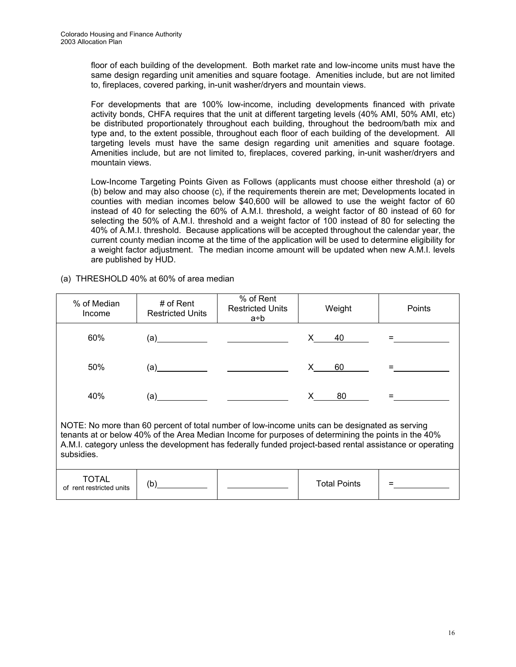floor of each building of the development. Both market rate and low-income units must have the same design regarding unit amenities and square footage. Amenities include, but are not limited to, fireplaces, covered parking, in-unit washer/dryers and mountain views.

 For developments that are 100% low-income, including developments financed with private activity bonds, CHFA requires that the unit at different targeting levels (40% AMI, 50% AMI, etc) be distributed proportionately throughout each building, throughout the bedroom/bath mix and type and, to the extent possible, throughout each floor of each building of the development. All targeting levels must have the same design regarding unit amenities and square footage. Amenities include, but are not limited to, fireplaces, covered parking, in-unit washer/dryers and mountain views.

 Low-Income Targeting Points Given as Follows (applicants must choose either threshold (a) or (b) below and may also choose (c), if the requirements therein are met; Developments located in counties with median incomes below \$40,600 will be allowed to use the weight factor of 60 instead of 40 for selecting the 60% of A.M.I. threshold, a weight factor of 80 instead of 60 for selecting the 50% of A.M.I. threshold and a weight factor of 100 instead of 80 for selecting the 40% of A.M.I. threshold. Because applications will be accepted throughout the calendar year, the current county median income at the time of the application will be used to determine eligibility for a weight factor adjustment. The median income amount will be updated when new A.M.I. levels are published by HUD.

(a) THRESHOLD 40% at 60% of area median

| % of Median<br>Income             | # of Rent<br><b>Restricted Units</b>                                                                                                                                                                                                                                                                                           | % of Rent<br><b>Restricted Units</b><br>a÷b                                                                                                                                                                                                                                                                       | Weight              | Points |
|-----------------------------------|--------------------------------------------------------------------------------------------------------------------------------------------------------------------------------------------------------------------------------------------------------------------------------------------------------------------------------|-------------------------------------------------------------------------------------------------------------------------------------------------------------------------------------------------------------------------------------------------------------------------------------------------------------------|---------------------|--------|
| 60%                               | $\overline{a}$ (a) and the contract of $\overline{a}$ and $\overline{a}$ and $\overline{a}$ and $\overline{a}$ and $\overline{a}$ and $\overline{a}$ and $\overline{a}$ and $\overline{a}$ and $\overline{a}$ and $\overline{a}$ and $\overline{a}$ and $\overline{a}$ and $\overline{a}$ and $\overline{a}$ and $\overline{a$ |                                                                                                                                                                                                                                                                                                                   | 40                  |        |
| 50%                               |                                                                                                                                                                                                                                                                                                                                |                                                                                                                                                                                                                                                                                                                   | 60<br>X —           |        |
| 40%                               |                                                                                                                                                                                                                                                                                                                                |                                                                                                                                                                                                                                                                                                                   | X —<br>80           |        |
| subsidies.                        |                                                                                                                                                                                                                                                                                                                                | NOTE: No more than 60 percent of total number of low-income units can be designated as serving<br>tenants at or below 40% of the Area Median Income for purposes of determining the points in the 40%<br>A.M.I. category unless the development has federally funded project-based rental assistance or operating |                     |        |
| TOTAL<br>of rent restricted units | (b)                                                                                                                                                                                                                                                                                                                            |                                                                                                                                                                                                                                                                                                                   | <b>Total Points</b> |        |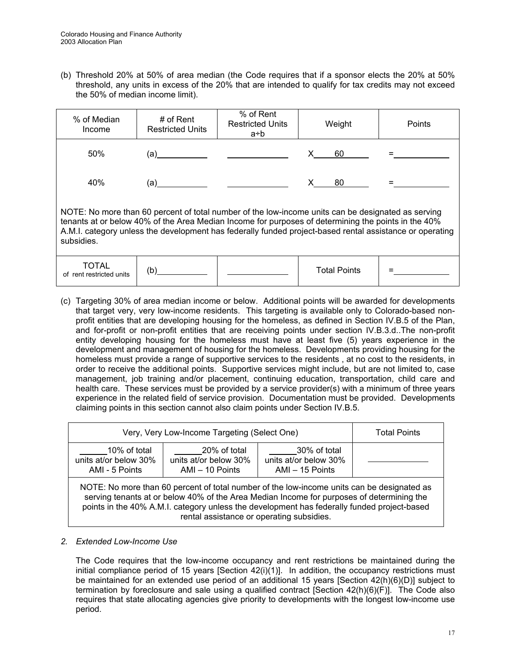(b) Threshold 20% at 50% of area median (the Code requires that if a sponsor elects the 20% at 50% threshold, any units in excess of the 20% that are intended to qualify for tax credits may not exceed the 50% of median income limit).

| % of Median<br>Income             | # of Rent<br><b>Restricted Units</b> | % of Rent<br><b>Restricted Units</b><br>a÷b                                                                                                                                                                                                                                                                           | Weight              | Points |
|-----------------------------------|--------------------------------------|-----------------------------------------------------------------------------------------------------------------------------------------------------------------------------------------------------------------------------------------------------------------------------------------------------------------------|---------------------|--------|
| 50%                               | (a)                                  |                                                                                                                                                                                                                                                                                                                       | 60                  |        |
| 40%                               | (a)                                  |                                                                                                                                                                                                                                                                                                                       | 80                  |        |
| subsidies.                        |                                      | NOTE: No more than 60 percent of total number of the low-income units can be designated as serving<br>tenants at or below 40% of the Area Median Income for purposes of determining the points in the 40%<br>A.M.I. category unless the development has federally funded project-based rental assistance or operating |                     |        |
| TOTAL<br>of rent restricted units | (b)                                  |                                                                                                                                                                                                                                                                                                                       | <b>Total Points</b> |        |

(c) Targeting 30% of area median income or below. Additional points will be awarded for developments that target very, very low-income residents. This targeting is available only to Colorado-based nonprofit entities that are developing housing for the homeless, as defined in Section IV.B.5 of the Plan, and for-profit or non-profit entities that are receiving points under section IV.B.3.d..The non-profit entity developing housing for the homeless must have at least five (5) years experience in the development and management of housing for the homeless.Developments providing housing for the homeless must provide a range of supportive services to the residents , at no cost to the residents, in order to receive the additional points. Supportive services might include, but are not limited to, case management, job training and/or placement, continuing education, transportation, child care and health care. These services must be provided by a service provider(s) with a minimum of three years experience in the related field of service provision. Documentation must be provided. Developments claiming points in this section cannot also claim points under Section IV.B.5.

| Very, Very Low-Income Targeting (Select One)                                                                                                                                                                                                                                                                                        | <b>Total Points</b> |  |  |  |  |
|-------------------------------------------------------------------------------------------------------------------------------------------------------------------------------------------------------------------------------------------------------------------------------------------------------------------------------------|---------------------|--|--|--|--|
| 10% of total<br>units at/or below 30%<br>AMI - 5 Points                                                                                                                                                                                                                                                                             |                     |  |  |  |  |
| NOTE: No more than 60 percent of total number of the low-income units can be designated as<br>serving tenants at or below 40% of the Area Median Income for purposes of determining the<br>points in the 40% A.M.I. category unless the development has federally funded project-based<br>rental assistance or operating subsidies. |                     |  |  |  |  |

# *2. Extended Low-Income Use*

The Code requires that the low-income occupancy and rent restrictions be maintained during the initial compliance period of 15 years  $[Section 42(i)(1)]$ . In addition, the occupancy restrictions must be maintained for an extended use period of an additional 15 years [Section 42(h)(6)(D)] subject to termination by foreclosure and sale using a qualified contract [Section 42(h)(6)(F)]. The Code also requires that state allocating agencies give priority to developments with the longest low-income use period.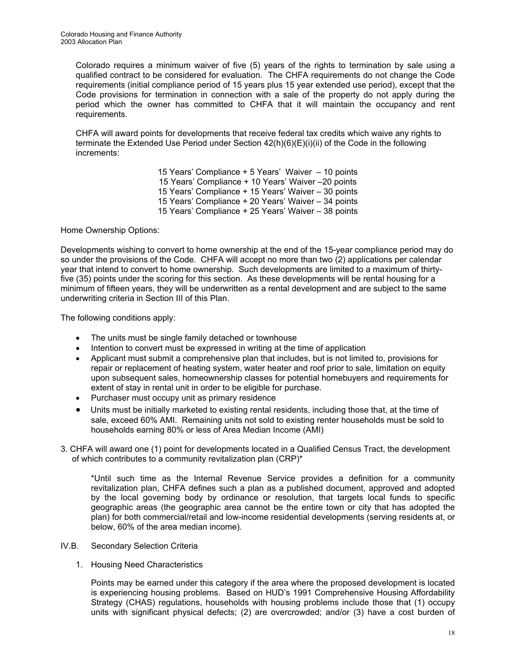Colorado requires a minimum waiver of five (5) years of the rights to termination by sale using a qualified contract to be considered for evaluation. The CHFA requirements do not change the Code requirements (initial compliance period of 15 years plus 15 year extended use period), except that the Code provisions for termination in connection with a sale of the property do not apply during the period which the owner has committed to CHFA that it will maintain the occupancy and rent requirements.

 CHFA will award points for developments that receive federal tax credits which waive any rights to terminate the Extended Use Period under Section 42(h)(6)(E)(i)(ii) of the Code in the following increments:

> 15 Years' Compliance + 5 Years' Waiver – 10 points 15 Years' Compliance + 10 Years' Waiver –20 points 15 Years' Compliance + 15 Years' Waiver – 30 points 15 Years' Compliance + 20 Years' Waiver – 34 points 15 Years' Compliance + 25 Years' Waiver – 38 points

Home Ownership Options:

Developments wishing to convert to home ownership at the end of the 15-year compliance period may do so under the provisions of the Code. CHFA will accept no more than two (2) applications per calendar year that intend to convert to home ownership. Such developments are limited to a maximum of thirtyfive (35) points under the scoring for this section. As these developments will be rental housing for a minimum of fifteen years, they will be underwritten as a rental development and are subject to the same underwriting criteria in Section III of this Plan.

The following conditions apply:

- The units must be single family detached or townhouse
- Intention to convert must be expressed in writing at the time of application
- Applicant must submit a comprehensive plan that includes, but is not limited to, provisions for repair or replacement of heating system, water heater and roof prior to sale, limitation on equity upon subsequent sales, homeownership classes for potential homebuyers and requirements for extent of stay in rental unit in order to be eligible for purchase.
- Purchaser must occupy unit as primary residence
- Units must be initially marketed to existing rental residents, including those that, at the time of sale, exceed 60% AMI. Remaining units not sold to existing renter households must be sold to households earning 80% or less of Area Median Income (AMI)
- 3. CHFA will award one (1) point for developments located in a Qualified Census Tract, the development of which contributes to a community revitalization plan (CRP)\*

\*Until such time as the Internal Revenue Service provides a definition for a community revitalization plan, CHFA defines such a plan as a published document, approved and adopted by the local governing body by ordinance or resolution, that targets local funds to specific geographic areas (the geographic area cannot be the entire town or city that has adopted the plan) for both commercial/retail and low-income residential developments (serving residents at, or below, 60% of the area median income).

- IV.B. Secondary Selection Criteria
	- 1. Housing Need Characteristics

Points may be earned under this category if the area where the proposed development is located is experiencing housing problems. Based on HUD's 1991 Comprehensive Housing Affordability Strategy (CHAS) regulations, households with housing problems include those that (1) occupy units with significant physical defects; (2) are overcrowded; and/or (3) have a cost burden of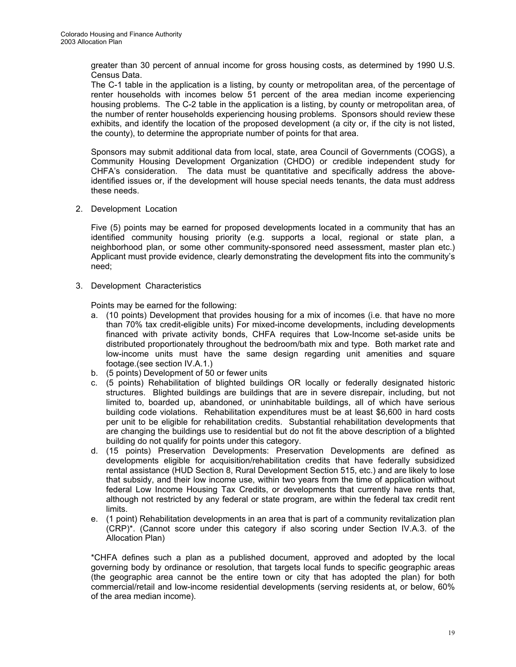greater than 30 percent of annual income for gross housing costs, as determined by 1990 U.S. Census Data.

The C-1 table in the application is a listing, by county or metropolitan area, of the percentage of renter households with incomes below 51 percent of the area median income experiencing housing problems. The C-2 table in the application is a listing, by county or metropolitan area, of the number of renter households experiencing housing problems. Sponsors should review these exhibits, and identify the location of the proposed development (a city or, if the city is not listed, the county), to determine the appropriate number of points for that area.

Sponsors may submit additional data from local, state, area Council of Governments (COGS), a Community Housing Development Organization (CHDO) or credible independent study for CHFA's consideration. The data must be quantitative and specifically address the aboveidentified issues or, if the development will house special needs tenants, the data must address these needs.

2. Development Location

Five (5) points may be earned for proposed developments located in a community that has an identified community housing priority (e.g. supports a local, regional or state plan, a neighborhood plan, or some other community-sponsored need assessment, master plan etc.) Applicant must provide evidence, clearly demonstrating the development fits into the community's need;

3. Development Characteristics

Points may be earned for the following:

- a. (10 points) Development that provides housing for a mix of incomes (i.e. that have no more than 70% tax credit-eligible units) For mixed-income developments, including developments financed with private activity bonds, CHFA requires that Low-Income set-aside units be distributed proportionately throughout the bedroom/bath mix and type. Both market rate and low-income units must have the same design regarding unit amenities and square footage.(see section IV.A.1.)
- b. (5 points) Development of 50 or fewer units
- c. (5 points) Rehabilitation of blighted buildings OR locally or federally designated historic structures. Blighted buildings are buildings that are in severe disrepair, including, but not limited to, boarded up, abandoned, or uninhabitable buildings, all of which have serious building code violations. Rehabilitation expenditures must be at least \$6,600 in hard costs per unit to be eligible for rehabilitation credits.Substantial rehabilitation developments that are changing the buildings use to residential but do not fit the above description of a blighted building do not qualify for points under this category.
- d. (15 points) Preservation Developments: Preservation Developments are defined as developments eligible for acquisition/rehabilitation credits that have federally subsidized rental assistance (HUD Section 8, Rural Development Section 515, etc.) and are likely to lose that subsidy, and their low income use, within two years from the time of application without federal Low Income Housing Tax Credits, or developments that currently have rents that, although not restricted by any federal or state program, are within the federal tax credit rent limits.
- e. (1 point) Rehabilitation developments in an area that is part of a community revitalization plan (CRP)\*. (Cannot score under this category if also scoring under Section IV.A.3. of the Allocation Plan)

\*CHFA defines such a plan as a published document, approved and adopted by the local governing body by ordinance or resolution, that targets local funds to specific geographic areas (the geographic area cannot be the entire town or city that has adopted the plan) for both commercial/retail and low-income residential developments (serving residents at, or below, 60% of the area median income).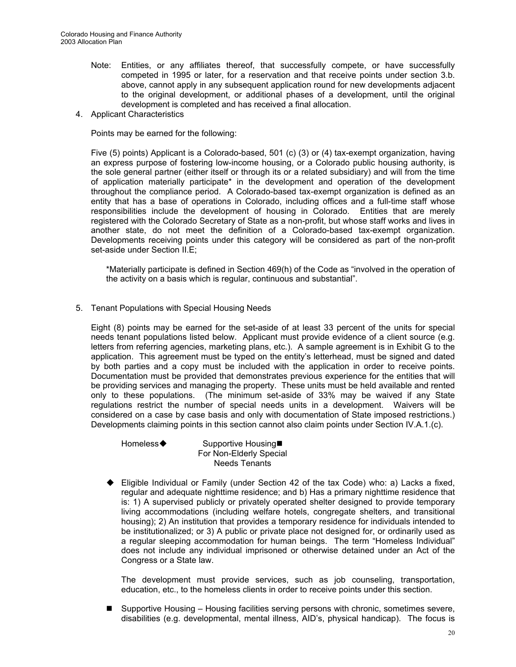- Note: Entities, or any affiliates thereof, that successfully compete, or have successfully competed in 1995 or later, for a reservation and that receive points under section 3.b. above, cannot apply in any subsequent application round for new developments adjacent to the original development, or additional phases of a development, until the original development is completed and has received a final allocation.
- 4. Applicant Characteristics

Points may be earned for the following:

Five (5) points) Applicant is a Colorado-based, 501 (c) (3) or (4) tax-exempt organization, having an express purpose of fostering low-income housing, or a Colorado public housing authority, is the sole general partner (either itself or through its or a related subsidiary) and will from the time of application materially participate\* in the development and operation of the development throughout the compliance period. A Colorado-based tax-exempt organization is defined as an entity that has a base of operations in Colorado, including offices and a full-time staff whose responsibilities include the development of housing in Colorado. Entities that are merely registered with the Colorado Secretary of State as a non-profit, but whose staff works and lives in another state, do not meet the definition of a Colorado-based tax-exempt organization. Developments receiving points under this category will be considered as part of the non-profit set-aside under Section II.E;

\*Materially participate is defined in Section 469(h) of the Code as "involved in the operation of the activity on a basis which is regular, continuous and substantial".

5. Tenant Populations with Special Housing Needs

Eight (8) points may be earned for the set-aside of at least 33 percent of the units for special needs tenant populations listed below. Applicant must provide evidence of a client source (e.g. letters from referring agencies, marketing plans, etc.). A sample agreement is in Exhibit G to the application. This agreement must be typed on the entity's letterhead, must be signed and dated by both parties and a copy must be included with the application in order to receive points. Documentation must be provided that demonstrates previous experience for the entities that will be providing services and managing the property. These units must be held available and rented only to these populations. (The minimum set-aside of 33% may be waived if any State regulations restrict the number of special needs units in a development. Waivers will be considered on a case by case basis and only with documentation of State imposed restrictions.) Developments claiming points in this section cannot also claim points under Section IV.A.1.(c).

Homeless◆ Supportive Housing■ For Non-Elderly Special Needs Tenants

 Eligible Individual or Family (under Section 42 of the tax Code) who: a) Lacks a fixed, regular and adequate nighttime residence; and b) Has a primary nighttime residence that is: 1) A supervised publicly or privately operated shelter designed to provide temporary living accommodations (including welfare hotels, congregate shelters, and transitional housing); 2) An institution that provides a temporary residence for individuals intended to be institutionalized; or 3) A public or private place not designed for, or ordinarily used as a regular sleeping accommodation for human beings. The term "Homeless Individual" does not include any individual imprisoned or otherwise detained under an Act of the Congress or a State law.

The development must provide services, such as job counseling, transportation, education, etc., to the homeless clients in order to receive points under this section.

■ Supportive Housing – Housing facilities serving persons with chronic, sometimes severe, disabilities (e.g. developmental, mental illness, AID's, physical handicap). The focus is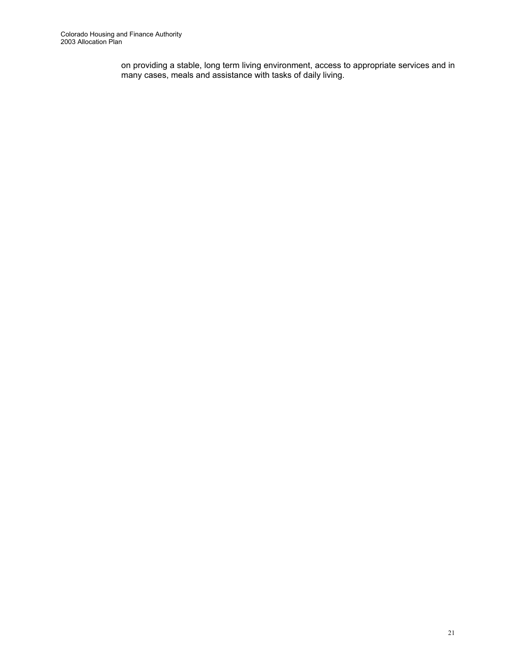on providing a stable, long term living environment, access to appropriate services and in many cases, meals and assistance with tasks of daily living.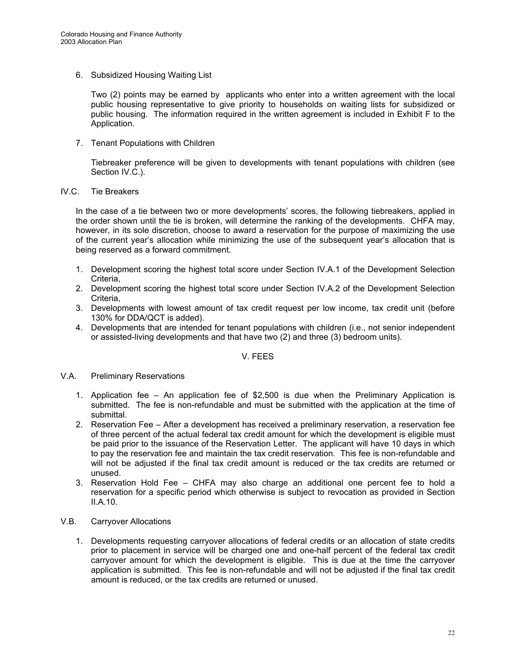6. Subsidized Housing Waiting List

Two (2) points may be earned by applicants who enter into a written agreement with the local public housing representative to give priority to households on waiting lists for subsidized or public housing. The information required in the written agreement is included in Exhibit F to the Application.

7. Tenant Populations with Children

Tiebreaker preference will be given to developments with tenant populations with children (see Section IV.C.).

# IV.C. Tie Breakers

 In the case of a tie between two or more developments' scores, the following tiebreakers, applied in the order shown until the tie is broken, will determine the ranking of the developments. CHFA may, however, in its sole discretion, choose to award a reservation for the purpose of maximizing the use of the current year's allocation while minimizing the use of the subsequent year's allocation that is being reserved as a forward commitment.

- 1. Development scoring the highest total score under Section IV.A.1 of the Development Selection Criteria,
- 2. Development scoring the highest total score under Section IV.A.2 of the Development Selection Criteria,
- 3. Developments with lowest amount of tax credit request per low income, tax credit unit (before 130% for DDA/QCT is added).
- 4. Developments that are intended for tenant populations with children (i.e., not senior independent or assisted-living developments and that have two (2) and three (3) bedroom units).

# V. FEES

- V.A. Preliminary Reservations
	- 1. Application fee An application fee of \$2,500 is due when the Preliminary Application is submitted. The fee is non-refundable and must be submitted with the application at the time of submittal.
	- 2. Reservation Fee After a development has received a preliminary reservation, a reservation fee of three percent of the actual federal tax credit amount for which the development is eligible must be paid prior to the issuance of the Reservation Letter. The applicant will have 10 days in which to pay the reservation fee and maintain the tax credit reservation. This fee is non-refundable and will not be adjusted if the final tax credit amount is reduced or the tax credits are returned or unused.
	- 3. Reservation Hold Fee CHFA may also charge an additional one percent fee to hold a reservation for a specific period which otherwise is subject to revocation as provided in Section II.A.10.
- V.B. Carryover Allocations
	- 1. Developments requesting carryover allocations of federal credits or an allocation of state credits prior to placement in service will be charged one and one-half percent of the federal tax credit carryover amount for which the development is eligible. This is due at the time the carryover application is submitted. This fee is non-refundable and will not be adjusted if the final tax credit amount is reduced, or the tax credits are returned or unused.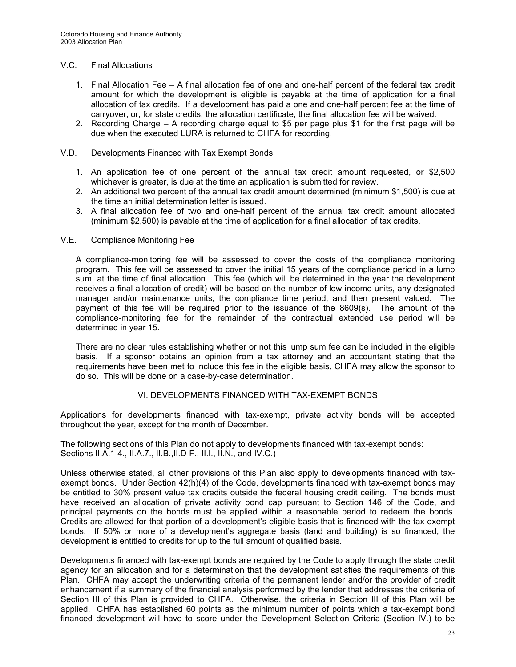## V.C. Final Allocations

- 1. Final Allocation Fee A final allocation fee of one and one-half percent of the federal tax credit amount for which the development is eligible is payable at the time of application for a final allocation of tax credits. If a development has paid a one and one-half percent fee at the time of carryover, or, for state credits, the allocation certificate, the final allocation fee will be waived.
- 2. Recording Charge A recording charge equal to \$5 per page plus \$1 for the first page will be due when the executed LURA is returned to CHFA for recording.

## V.D. Developments Financed with Tax Exempt Bonds

- 1. An application fee of one percent of the annual tax credit amount requested, or \$2,500 whichever is greater, is due at the time an application is submitted for review.
- 2. An additional two percent of the annual tax credit amount determined (minimum \$1,500) is due at the time an initial determination letter is issued.
- 3. A final allocation fee of two and one-half percent of the annual tax credit amount allocated (minimum \$2,500) is payable at the time of application for a final allocation of tax credits.

#### V.E. Compliance Monitoring Fee

 A compliance-monitoring fee will be assessed to cover the costs of the compliance monitoring program. This fee will be assessed to cover the initial 15 years of the compliance period in a lump sum, at the time of final allocation. This fee (which will be determined in the year the development receives a final allocation of credit) will be based on the number of low-income units, any designated manager and/or maintenance units, the compliance time period, and then present valued. The payment of this fee will be required prior to the issuance of the 8609(s). The amount of the compliance-monitoring fee for the remainder of the contractual extended use period will be determined in year 15.

 There are no clear rules establishing whether or not this lump sum fee can be included in the eligible basis. If a sponsor obtains an opinion from a tax attorney and an accountant stating that the requirements have been met to include this fee in the eligible basis, CHFA may allow the sponsor to do so. This will be done on a case-by-case determination.

# VI. DEVELOPMENTS FINANCED WITH TAX-EXEMPT BONDS

Applications for developments financed with tax-exempt, private activity bonds will be accepted throughout the year, except for the month of December.

The following sections of this Plan do not apply to developments financed with tax-exempt bonds: Sections II.A.1-4., II.A.7., II.B.,II.D-F., II.I., II.N., and IV.C.)

Unless otherwise stated, all other provisions of this Plan also apply to developments financed with taxexempt bonds. Under Section 42(h)(4) of the Code, developments financed with tax-exempt bonds may be entitled to 30% present value tax credits outside the federal housing credit ceiling. The bonds must have received an allocation of private activity bond cap pursuant to Section 146 of the Code, and principal payments on the bonds must be applied within a reasonable period to redeem the bonds. Credits are allowed for that portion of a development's eligible basis that is financed with the tax-exempt bonds. If 50% or more of a development's aggregate basis (land and building) is so financed, the development is entitled to credits for up to the full amount of qualified basis.

Developments financed with tax-exempt bonds are required by the Code to apply through the state credit agency for an allocation and for a determination that the development satisfies the requirements of this Plan. CHFA may accept the underwriting criteria of the permanent lender and/or the provider of credit enhancement if a summary of the financial analysis performed by the lender that addresses the criteria of Section III of this Plan is provided to CHFA. Otherwise, the criteria in Section III of this Plan will be applied.CHFA has established 60 points as the minimum number of points which a tax-exempt bond financed development will have to score under the Development Selection Criteria (Section IV.) to be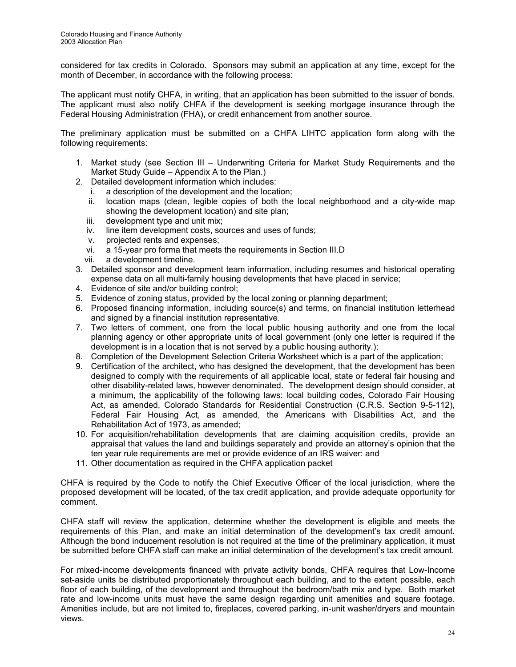considered for tax credits in Colorado. Sponsors may submit an application at any time, except for the month of December, in accordance with the following process:

The applicant must notify CHFA, in writing, that an application has been submitted to the issuer of bonds. The applicant must also notify CHFA if the development is seeking mortgage insurance through the Federal Housing Administration (FHA), or credit enhancement from another source.

The preliminary application must be submitted on a CHFA LIHTC application form along with the following requirements:

- 1. Market study (see Section III Underwriting Criteria for Market Study Requirements and the Market Study Guide – Appendix A to the Plan.)
- 2. Detailed development information which includes:
	- i. a description of the development and the location;
	- ii. location maps (clean, legible copies of both the local neighborhood and a city-wide map showing the development location) and site plan;
	- iii. development type and unit mix;
	- iv. line item development costs, sources and uses of funds;
	- v. projected rents and expenses;
	- vi. a 15-year pro forma that meets the requirements in Section III.D
	- vii. a development timeline.
- 3. Detailed sponsor and development team information, including resumes and historical operating expense data on all multi-family housing developments that have placed in service;
- 4. Evidence of site and/or building control;
- 5. Evidence of zoning status, provided by the local zoning or planning department;
- 6. Proposed financing information, including source(s) and terms, on financial institution letterhead and signed by a financial institution representative.
- 7. Two letters of comment, one from the local public housing authority and one from the local planning agency or other appropriate units of local government (only one letter is required if the development is in a location that is not served by a public housing authority.);
- 8. Completion of the Development Selection Criteria Worksheet which is a part of the application;
- 9. Certification of the architect, who has designed the development, that the development has been designed to comply with the requirements of all applicable local, state or federal fair housing and other disability-related laws, however denominated. The development design should consider, at a minimum, the applicability of the following laws: local building codes, Colorado Fair Housing Act, as amended, Colorado Standards for Residential Construction (C.R.S. Section 9-5-112), Federal Fair Housing Act, as amended, the Americans with Disabilities Act, and the Rehabilitation Act of 1973, as amended;
- 10. For acquisition/rehabilitation developments that are claiming acquisition credits, provide an appraisal that values the land and buildings separately and provide an attorney's opinion that the ten year rule requirements are met or provide evidence of an IRS waiver: and
- 11. Other documentation as required in the CHFA application packet

CHFA is required by the Code to notify the Chief Executive Officer of the local jurisdiction, where the proposed development will be located, of the tax credit application, and provide adequate opportunity for comment.

CHFA staff will review the application, determine whether the development is eligible and meets the requirements of this Plan, and make an initial determination of the development's tax credit amount. Although the bond inducement resolution is not required at the time of the preliminary application, it must be submitted before CHFA staff can make an initial determination of the development's tax credit amount.

For mixed-income developments financed with private activity bonds, CHFA requires that Low-Income set-aside units be distributed proportionately throughout each building, and to the extent possible, each floor of each building, of the development and throughout the bedroom/bath mix and type. Both market rate and low-income units must have the same design regarding unit amenities and square footage. Amenities include, but are not limited to, fireplaces, covered parking, in-unit washer/dryers and mountain views.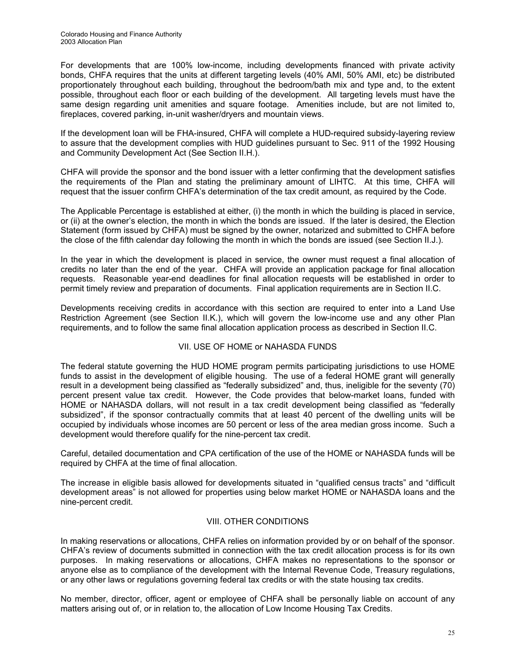For developments that are 100% low-income, including developments financed with private activity bonds, CHFA requires that the units at different targeting levels (40% AMI, 50% AMI, etc) be distributed proportionately throughout each building, throughout the bedroom/bath mix and type and, to the extent possible, throughout each floor or each building of the development. All targeting levels must have the same design regarding unit amenities and square footage. Amenities include, but are not limited to, fireplaces, covered parking, in-unit washer/dryers and mountain views.

If the development loan will be FHA-insured, CHFA will complete a HUD-required subsidy-layering review to assure that the development complies with HUD guidelines pursuant to Sec. 911 of the 1992 Housing and Community Development Act (See Section II.H.).

CHFA will provide the sponsor and the bond issuer with a letter confirming that the development satisfies the requirements of the Plan and stating the preliminary amount of LIHTC. At this time, CHFA will request that the issuer confirm CHFA's determination of the tax credit amount, as required by the Code.

The Applicable Percentage is established at either, (i) the month in which the building is placed in service, or (ii) at the owner's election, the month in which the bonds are issued. If the later is desired, the Election Statement (form issued by CHFA) must be signed by the owner, notarized and submitted to CHFA before the close of the fifth calendar day following the month in which the bonds are issued (see Section II.J.).

In the year in which the development is placed in service, the owner must request a final allocation of credits no later than the end of the year. CHFA will provide an application package for final allocation requests. Reasonable year-end deadlines for final allocation requests will be established in order to permit timely review and preparation of documents. Final application requirements are in Section II.C.

Developments receiving credits in accordance with this section are required to enter into a Land Use Restriction Agreement (see Section II.K.), which will govern the low-income use and any other Plan requirements, and to follow the same final allocation application process as described in Section II.C.

# VII. USE OF HOME or NAHASDA FUNDS

The federal statute governing the HUD HOME program permits participating jurisdictions to use HOME funds to assist in the development of eligible housing. The use of a federal HOME grant will generally result in a development being classified as "federally subsidized" and, thus, ineligible for the seventy (70) percent present value tax credit. However, the Code provides that below-market loans, funded with HOME or NAHASDA dollars, will not result in a tax credit development being classified as "federally subsidized", if the sponsor contractually commits that at least 40 percent of the dwelling units will be occupied by individuals whose incomes are 50 percent or less of the area median gross income. Such a development would therefore qualify for the nine-percent tax credit.

Careful, detailed documentation and CPA certification of the use of the HOME or NAHASDA funds will be required by CHFA at the time of final allocation.

The increase in eligible basis allowed for developments situated in "qualified census tracts" and "difficult development areas" is not allowed for properties using below market HOME or NAHASDA loans and the nine-percent credit.

# VIII. OTHER CONDITIONS

In making reservations or allocations, CHFA relies on information provided by or on behalf of the sponsor. CHFA's review of documents submitted in connection with the tax credit allocation process is for its own purposes. In making reservations or allocations, CHFA makes no representations to the sponsor or anyone else as to compliance of the development with the Internal Revenue Code, Treasury regulations, or any other laws or regulations governing federal tax credits or with the state housing tax credits.

No member, director, officer, agent or employee of CHFA shall be personally liable on account of any matters arising out of, or in relation to, the allocation of Low Income Housing Tax Credits.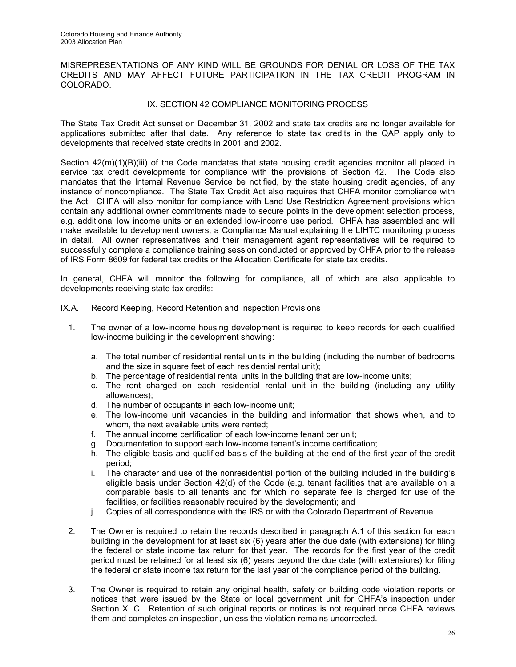MISREPRESENTATIONS OF ANY KIND WILL BE GROUNDS FOR DENIAL OR LOSS OF THE TAX CREDITS AND MAY AFFECT FUTURE PARTICIPATION IN THE TAX CREDIT PROGRAM IN COLORADO.

# IX. SECTION 42 COMPLIANCE MONITORING PROCESS

The State Tax Credit Act sunset on December 31, 2002 and state tax credits are no longer available for applications submitted after that date. Any reference to state tax credits in the QAP apply only to developments that received state credits in 2001 and 2002.

Section  $42(m)(1)(B)(iii)$  of the Code mandates that state housing credit agencies monitor all placed in service tax credit developments for compliance with the provisions of Section 42. The Code also mandates that the Internal Revenue Service be notified, by the state housing credit agencies, of any instance of noncompliance. The State Tax Credit Act also requires that CHFA monitor compliance with the Act. CHFA will also monitor for compliance with Land Use Restriction Agreement provisions which contain any additional owner commitments made to secure points in the development selection process, e.g. additional low income units or an extended low-income use period. CHFA has assembled and will make available to development owners, a Compliance Manual explaining the LIHTC monitoring process in detail. All owner representatives and their management agent representatives will be required to successfully complete a compliance training session conducted or approved by CHFA prior to the release of IRS Form 8609 for federal tax credits or the Allocation Certificate for state tax credits.

In general, CHFA will monitor the following for compliance, all of which are also applicable to developments receiving state tax credits:

- IX.A. Record Keeping, Record Retention and Inspection Provisions
	- 1. The owner of a low-income housing development is required to keep records for each qualified low-income building in the development showing:
		- a. The total number of residential rental units in the building (including the number of bedrooms and the size in square feet of each residential rental unit);
		- b. The percentage of residential rental units in the building that are low-income units;
		- c. The rent charged on each residential rental unit in the building (including any utility allowances);
		- d. The number of occupants in each low-income unit;
		- e. The low-income unit vacancies in the building and information that shows when, and to whom, the next available units were rented;
		- f. The annual income certification of each low-income tenant per unit;
		- g. Documentation to support each low-income tenant's income certification;
		- h. The eligible basis and qualified basis of the building at the end of the first year of the credit period;
		- i. The character and use of the nonresidential portion of the building included in the building's eligible basis under Section 42(d) of the Code (e.g. tenant facilities that are available on a comparable basis to all tenants and for which no separate fee is charged for use of the facilities, or facilities reasonably required by the development); and
		- j. Copies of all correspondence with the IRS or with the Colorado Department of Revenue.
	- 2. The Owner is required to retain the records described in paragraph A.1 of this section for each building in the development for at least six (6) years after the due date (with extensions) for filing the federal or state income tax return for that year. The records for the first year of the credit period must be retained for at least six (6) years beyond the due date (with extensions) for filing the federal or state income tax return for the last year of the compliance period of the building.
	- 3. The Owner is required to retain any original health, safety or building code violation reports or notices that were issued by the State or local government unit for CHFA's inspection under Section X. C. Retention of such original reports or notices is not required once CHFA reviews them and completes an inspection, unless the violation remains uncorrected.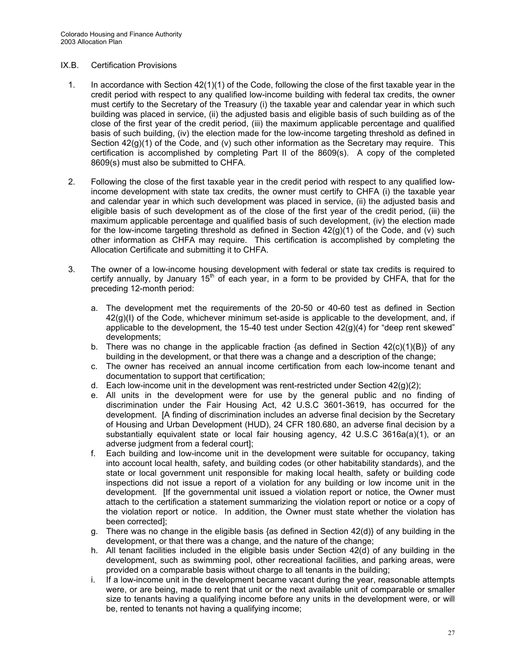# IX.B. Certification Provisions

- 1. In accordance with Section 42(1)(1) of the Code, following the close of the first taxable year in the credit period with respect to any qualified low-income building with federal tax credits, the owner must certify to the Secretary of the Treasury (i) the taxable year and calendar year in which such building was placed in service, (ii) the adjusted basis and eligible basis of such building as of the close of the first year of the credit period, (iii) the maximum applicable percentage and qualified basis of such building, (iv) the election made for the low-income targeting threshold as defined in Section  $42(g)(1)$  of the Code, and (v) such other information as the Secretary may require. This certification is accomplished by completing Part II of the 8609(s). A copy of the completed 8609(s) must also be submitted to CHFA.
- 2. Following the close of the first taxable year in the credit period with respect to any qualified lowincome development with state tax credits, the owner must certify to CHFA (i) the taxable year and calendar year in which such development was placed in service, (ii) the adjusted basis and eligible basis of such development as of the close of the first year of the credit period, (iii) the maximum applicable percentage and qualified basis of such development, (iv) the election made for the low-income targeting threshold as defined in Section  $42(g)(1)$  of the Code, and (v) such other information as CHFA may require. This certification is accomplished by completing the Allocation Certificate and submitting it to CHFA.
- 3. The owner of a low-income housing development with federal or state tax credits is required to certify annually, by January  $15<sup>th</sup>$  of each year, in a form to be provided by CHFA, that for the preceding 12-month period:
	- a. The development met the requirements of the 20-50 or 40-60 test as defined in Section 42(g)(I) of the Code, whichever minimum set-aside is applicable to the development, and, if applicable to the development, the 15-40 test under Section  $42(q)(4)$  for "deep rent skewed" developments;
	- b. There was no change in the applicable fraction {as defined in Section  $42(c)(1)(B)$ } of any building in the development, or that there was a change and a description of the change;
	- c. The owner has received an annual income certification from each low-income tenant and documentation to support that certification;
	- d. Each low-income unit in the development was rent-restricted under Section  $42(q)(2)$ ;
	- e. All units in the development were for use by the general public and no finding of discrimination under the Fair Housing Act, 42 U.S.C 3601-3619, has occurred for the development. [A finding of discrimination includes an adverse final decision by the Secretary of Housing and Urban Development (HUD), 24 CFR 180.680, an adverse final decision by a substantially equivalent state or local fair housing agency, 42 U.S.C 3616a(a)(1), or an adverse judgment from a federal court];
	- f. Each building and low-income unit in the development were suitable for occupancy, taking into account local health, safety, and building codes (or other habitability standards), and the state or local government unit responsible for making local health, safety or building code inspections did not issue a report of a violation for any building or low income unit in the development. [If the governmental unit issued a violation report or notice, the Owner must attach to the certification a statement summarizing the violation report or notice or a copy of the violation report or notice. In addition, the Owner must state whether the violation has been corrected];
	- g. There was no change in the eligible basis {as defined in Section 42(d)} of any building in the development, or that there was a change, and the nature of the change;
	- h. All tenant facilities included in the eligible basis under Section 42(d) of any building in the development, such as swimming pool, other recreational facilities, and parking areas, were provided on a comparable basis without charge to all tenants in the building;
	- i. If a low-income unit in the development became vacant during the year, reasonable attempts were, or are being, made to rent that unit or the next available unit of comparable or smaller size to tenants having a qualifying income before any units in the development were, or will be, rented to tenants not having a qualifying income;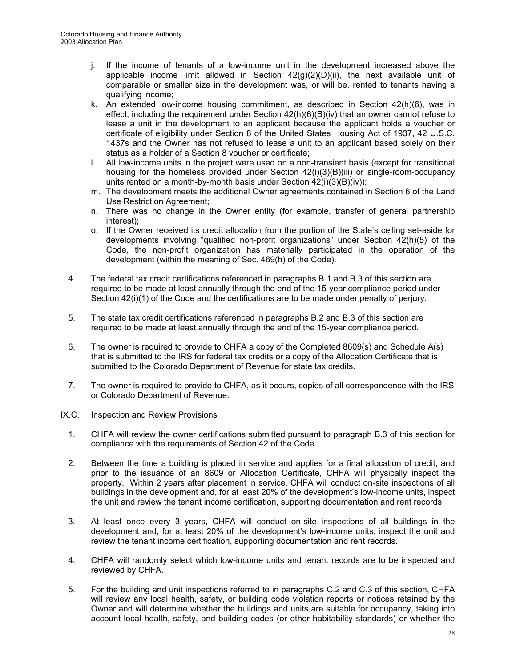- j. If the income of tenants of a low-income unit in the development increased above the applicable income limit allowed in Section  $42(q)(2)(D)(ii)$ , the next available unit of comparable or smaller size in the development was, or will be, rented to tenants having a qualifying income;
- k. An extended low-income housing commitment, as described in Section 42(h)(6), was in effect, including the requirement under Section  $42(h)(6)(B)(iv)$  that an owner cannot refuse to lease a unit in the development to an applicant because the applicant holds a voucher or certificate of eligibility under Section 8 of the United States Housing Act of 1937, 42 U.S.C. 1437s and the Owner has not refused to lease a unit to an applicant based solely on their status as a holder of a Section 8 voucher or certificate;
- l. All low-income units in the project were used on a non-transient basis (except for transitional housing for the homeless provided under Section 42(i)(3)(B)(iii) or single-room-occupancy units rented on a month-by-month basis under Section 42(i)(3)(B)(iv));
- m. The development meets the additional Owner agreements contained in Section 6 of the Land Use Restriction Agreement;
- n. There was no change in the Owner entity (for example, transfer of general partnership interest);
- o. If the Owner received its credit allocation from the portion of the State's ceiling set-aside for developments involving "qualified non-profit organizations" under Section 42(h)(5) of the Code, the non-profit organization has materially participated in the operation of the development (within the meaning of Sec. 469(h) of the Code).
- 4. The federal tax credit certifications referenced in paragraphs B.1 and B.3 of this section are required to be made at least annually through the end of the 15-year compliance period under Section  $42(i)(1)$  of the Code and the certifications are to be made under penalty of perjury.
- 5. The state tax credit certifications referenced in paragraphs B.2 and B.3 of this section are required to be made at least annually through the end of the 15-year compliance period.
- 6. The owner is required to provide to CHFA a copy of the Completed 8609(s) and Schedule A(s) that is submitted to the IRS for federal tax credits or a copy of the Allocation Certificate that is submitted to the Colorado Department of Revenue for state tax credits.
- 7. The owner is required to provide to CHFA, as it occurs, copies of all correspondence with the IRS or Colorado Department of Revenue.
- IX.C. Inspection and Review Provisions
	- 1. CHFA will review the owner certifications submitted pursuant to paragraph B.3 of this section for compliance with the requirements of Section 42 of the Code.
	- 2. Between the time a building is placed in service and applies for a final allocation of credit, and prior to the issuance of an 8609 or Allocation Certificate, CHFA will physically inspect the property. Within 2 years after placement in service, CHFA will conduct on-site inspections of all buildings in the development and, for at least 20% of the development's low-income units, inspect the unit and review the tenant income certification, supporting documentation and rent records.
	- 3. At least once every 3 years, CHFA will conduct on-site inspections of all buildings in the development and, for at least 20% of the development's low-income units, inspect the unit and review the tenant income certification, supporting documentation and rent records.
	- 4. CHFA will randomly select which low-income units and tenant records are to be inspected and reviewed by CHFA.
	- 5. For the building and unit inspections referred to in paragraphs C.2 and C.3 of this section, CHFA will review any local health, safety, or building code violation reports or notices retained by the Owner and will determine whether the buildings and units are suitable for occupancy, taking into account local health, safety, and building codes (or other habitability standards) or whether the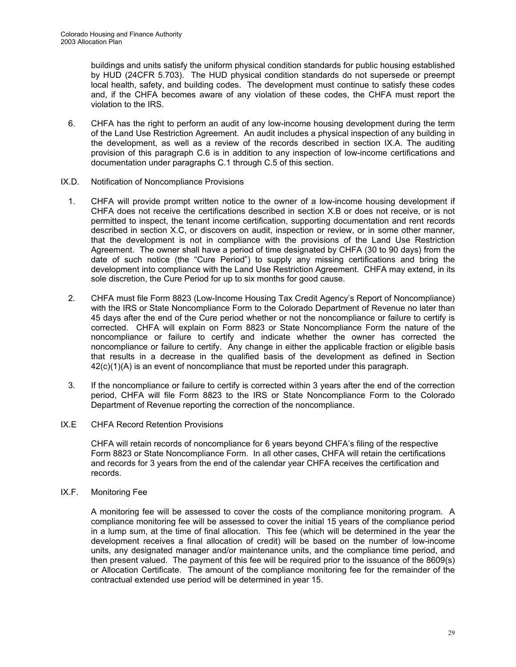buildings and units satisfy the uniform physical condition standards for public housing established by HUD (24CFR 5.703). The HUD physical condition standards do not supersede or preempt local health, safety, and building codes. The development must continue to satisfy these codes and, if the CHFA becomes aware of any violation of these codes, the CHFA must report the violation to the IRS.

- 6. CHFA has the right to perform an audit of any low-income housing development during the term of the Land Use Restriction Agreement. An audit includes a physical inspection of any building in the development, as well as a review of the records described in section IX.A. The auditing provision of this paragraph C.6 is in addition to any inspection of low-income certifications and documentation under paragraphs C.1 through C.5 of this section.
- IX.D. Notification of Noncompliance Provisions
	- 1. CHFA will provide prompt written notice to the owner of a low-income housing development if CHFA does not receive the certifications described in section X.B or does not receive, or is not permitted to inspect, the tenant income certification, supporting documentation and rent records described in section X.C, or discovers on audit, inspection or review, or in some other manner, that the development is not in compliance with the provisions of the Land Use Restriction Agreement. The owner shall have a period of time designated by CHFA (30 to 90 days) from the date of such notice (the "Cure Period") to supply any missing certifications and bring the development into compliance with the Land Use Restriction Agreement. CHFA may extend, in its sole discretion, the Cure Period for up to six months for good cause.
	- 2. CHFA must file Form 8823 (Low-Income Housing Tax Credit Agency's Report of Noncompliance) with the IRS or State Noncompliance Form to the Colorado Department of Revenue no later than 45 days after the end of the Cure period whether or not the noncompliance or failure to certify is corrected. CHFA will explain on Form 8823 or State Noncompliance Form the nature of the noncompliance or failure to certify and indicate whether the owner has corrected the noncompliance or failure to certify. Any change in either the applicable fraction or eligible basis that results in a decrease in the qualified basis of the development as defined in Section 42(c)(1)(A) is an event of noncompliance that must be reported under this paragraph.
	- 3. If the noncompliance or failure to certify is corrected within 3 years after the end of the correction period, CHFA will file Form 8823 to the IRS or State Noncompliance Form to the Colorado Department of Revenue reporting the correction of the noncompliance.
- IX.E CHFA Record Retention Provisions

CHFA will retain records of noncompliance for 6 years beyond CHFA's filing of the respective Form 8823 or State Noncompliance Form. In all other cases, CHFA will retain the certifications and records for 3 years from the end of the calendar year CHFA receives the certification and records.

IX.F. Monitoring Fee

 A monitoring fee will be assessed to cover the costs of the compliance monitoring program. A compliance monitoring fee will be assessed to cover the initial 15 years of the compliance period in a lump sum, at the time of final allocation. This fee (which will be determined in the year the development receives a final allocation of credit) will be based on the number of low-income units, any designated manager and/or maintenance units, and the compliance time period, and then present valued. The payment of this fee will be required prior to the issuance of the 8609(s) or Allocation Certificate. The amount of the compliance monitoring fee for the remainder of the contractual extended use period will be determined in year 15.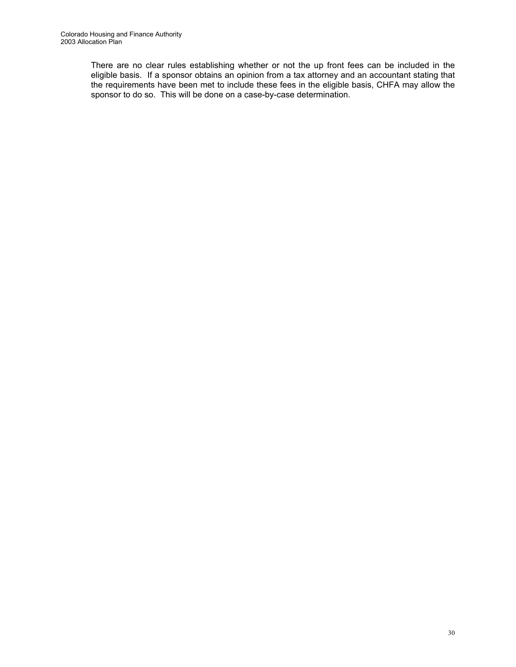There are no clear rules establishing whether or not the up front fees can be included in the eligible basis. If a sponsor obtains an opinion from a tax attorney and an accountant stating that the requirements have been met to include these fees in the eligible basis, CHFA may allow the sponsor to do so. This will be done on a case-by-case determination.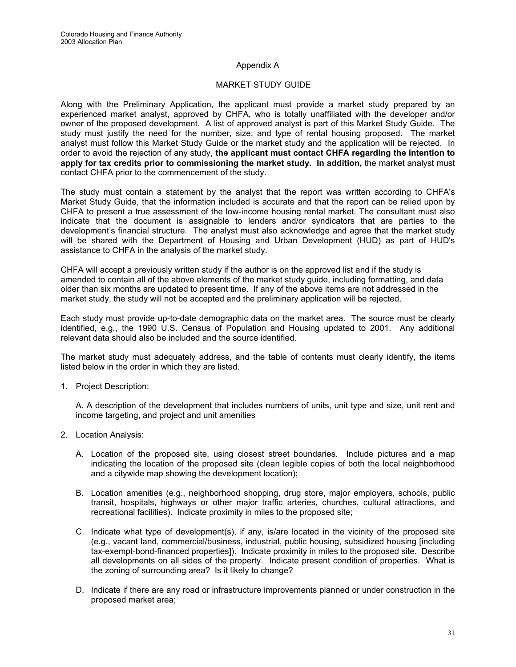# Appendix A

## MARKET STUDY GUIDE

Along with the Preliminary Application, the applicant must provide a market study prepared by an experienced market analyst, approved by CHFA, who is totally unaffiliated with the developer and/or owner of the proposed development. A list of approved analyst is part of this Market Study Guide. The study must justify the need for the number, size, and type of rental housing proposed. The market analyst must follow this Market Study Guide or the market study and the application will be rejected. In order to avoid the rejection of any study, **the applicant must contact CHFA regarding the intention to apply for tax credits prior to commissioning the market study. In addition,** the market analyst must contact CHFA prior to the commencement of the study.

The study must contain a statement by the analyst that the report was written according to CHFA's Market Study Guide, that the information included is accurate and that the report can be relied upon by CHFA to present a true assessment of the low-income housing rental market. The consultant must also indicate that the document is assignable to lenders and/or syndicators that are parties to the development's financial structure. The analyst must also acknowledge and agree that the market study will be shared with the Department of Housing and Urban Development (HUD) as part of HUD's assistance to CHFA in the analysis of the market study.

CHFA will accept a previously written study if the author is on the approved list and if the study is amended to contain all of the above elements of the market study guide, including formatting, and data older than six months are updated to present time. If any of the above items are not addressed in the market study, the study will not be accepted and the preliminary application will be rejected.

Each study must provide up-to-date demographic data on the market area. The source must be clearly identified, e.g., the 1990 U.S. Census of Population and Housing updated to 2001. Any additional relevant data should also be included and the source identified.

The market study must adequately address, and the table of contents must clearly identify, the items listed below in the order in which they are listed.

1. Project Description:

A. A description of the development that includes numbers of units, unit type and size, unit rent and income targeting, and project and unit amenities

- 2. Location Analysis:
	- A. Location of the proposed site, using closest street boundaries. Include pictures and a map indicating the location of the proposed site (clean legible copies of both the local neighborhood and a citywide map showing the development location);
	- B. Location amenities (e.g., neighborhood shopping, drug store, major employers, schools, public transit, hospitals, highways or other major traffic arteries, churches, cultural attractions, and recreational facilities). Indicate proximity in miles to the proposed site;
	- C. Indicate what type of development(s), if any, is/are located in the vicinity of the proposed site (e.g., vacant land, commercial/business, industrial, public housing, subsidized housing [including tax-exempt-bond-financed properties]). Indicate proximity in miles to the proposed site. Describe all developments on all sides of the property. Indicate present condition of properties. What is the zoning of surrounding area? Is it likely to change?
	- D. Indicate if there are any road or infrastructure improvements planned or under construction in the proposed market area;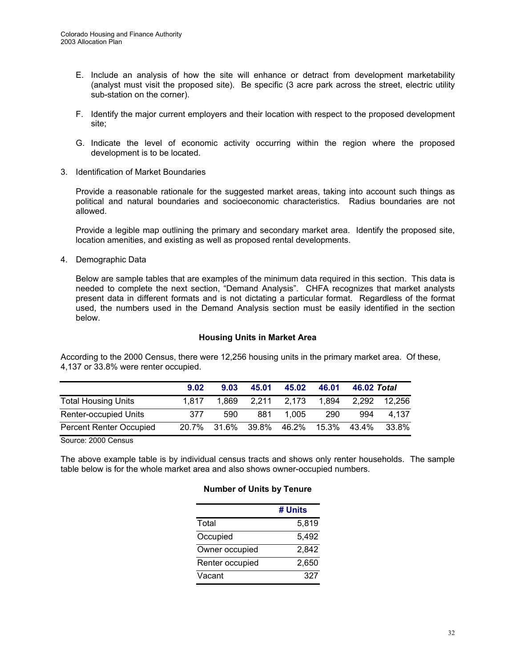- E. Include an analysis of how the site will enhance or detract from development marketability (analyst must visit the proposed site). Be specific (3 acre park across the street, electric utility sub-station on the corner).
- F. Identify the major current employers and their location with respect to the proposed development site;
- G. Indicate the level of economic activity occurring within the region where the proposed development is to be located.
- 3. Identification of Market Boundaries

 Provide a reasonable rationale for the suggested market areas, taking into account such things as political and natural boundaries and socioeconomic characteristics. Radius boundaries are not allowed.

 Provide a legible map outlining the primary and secondary market area. Identify the proposed site, location amenities, and existing as well as proposed rental developments.

4. Demographic Data

 Below are sample tables that are examples of the minimum data required in this section. This data is needed to complete the next section, "Demand Analysis". CHFA recognizes that market analysts present data in different formats and is not dictating a particular format. Regardless of the format used, the numbers used in the Demand Analysis section must be easily identified in the section below.

# **Housing Units in Market Area**

According to the 2000 Census, there were 12,256 housing units in the primary market area. Of these, 4,137 or 33.8% were renter occupied.

|                                | 9.02  | 9.03  | 45.01 | 45.02             | 46.01 | 46.02 Total |        |
|--------------------------------|-------|-------|-------|-------------------|-------|-------------|--------|
| <b>Total Housing Units</b>     | 1.817 | 1.869 | 2.211 | 2.173             | 1,894 | 2,292       | 12.256 |
| <b>Renter-occupied Units</b>   | 377   | 590   | 881   | 1.005             | 290   | 994         | 4.137  |
| <b>Percent Renter Occupied</b> | 20.7% |       |       | 31.6% 39.8% 46.2% | 15.3% | 43.4%       | 33.8%  |

Source: 2000 Census

The above example table is by individual census tracts and shows only renter households. The sample table below is for the whole market area and also shows owner-occupied numbers.

#### **Number of Units by Tenure**

|                 | # Units |
|-----------------|---------|
| Total           | 5,819   |
| Occupied        | 5,492   |
| Owner occupied  | 2,842   |
| Renter occupied | 2,650   |
| Vacant          | 327     |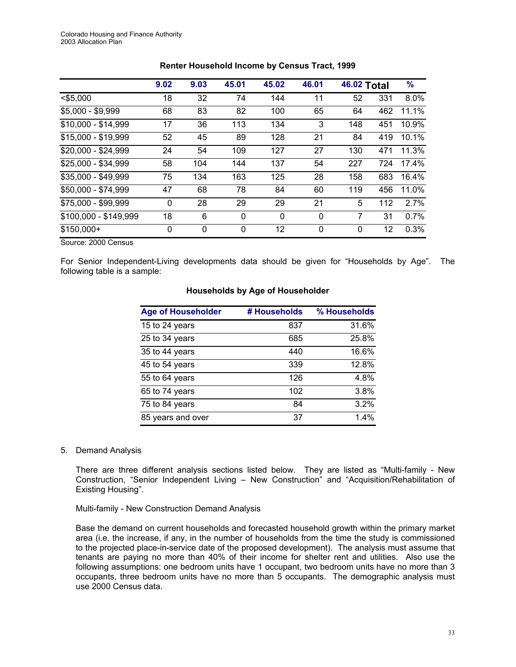|                       | 9.02        | 9.03        | 45.01        | 45.02        | 46.01 | <b>46.02 Total</b> |     | $\frac{9}{6}$ |
|-----------------------|-------------|-------------|--------------|--------------|-------|--------------------|-----|---------------|
| $<$ \$5,000           | 18          | 32          | 74           | 144          | 11    | 52                 | 331 | 8.0%          |
| $$5,000 - $9,999$     | 68          | 83          | 82           | 100          | 65    | 64                 | 462 | 11.1%         |
| $$10,000 - $14,999$   | 17          | 36          | 113          | 134          | 3     | 148                | 451 | 10.9%         |
| $$15,000 - $19,999$   | 52          | 45          | 89           | 128          | 21    | 84                 | 419 | 10.1%         |
| $$20,000 - $24,999$   | 24          | 54          | 109          | 127          | 27    | 130                | 471 | 11.3%         |
| \$25,000 - \$34,999   | 58          | 104         | 144          | 137          | 54    | 227                | 724 | 17.4%         |
| $$35,000 - $49,999$   | 75          | 134         | 163          | 125          | 28    | 158                | 683 | 16.4%         |
| \$50,000 - \$74,999   | 47          | 68          | 78           | 84           | 60    | 119                | 456 | 11.0%         |
| \$75,000 - \$99,999   | $\mathbf 0$ | 28          | 29           | 29           | 21    | 5                  | 112 | 2.7%          |
| \$100,000 - \$149,999 | 18          | 6           | $\mathbf{0}$ | $\mathbf{0}$ | 0     | 7                  | 31  | 0.7%          |
| $$150,000+$           | 0           | $\mathbf 0$ | $\Omega$     | 12           | 0     | $\mathbf{0}$       | 12  | 0.3%          |

# **Renter Household Income by Census Tract, 1999**

Source: 2000 Census

For Senior Independent-Living developments data should be given for "Households by Age". The following table is a sample:

# **Households by Age of Householder**

| <b>Age of Householder</b> | # Households | % Households |
|---------------------------|--------------|--------------|
| 15 to 24 years            | 837          | 31.6%        |
| 25 to 34 years            | 685          | 25.8%        |
| 35 to 44 years            | 440          | 16.6%        |
| 45 to 54 years            | 339          | 12.8%        |
| 55 to 64 years            | 126          | 4.8%         |
| 65 to 74 years            | 102          | 3.8%         |
| 75 to 84 years            | 84           | 3.2%         |
| 85 years and over         | 37           | 1.4%         |

#### 5. Demand Analysis

 There are three different analysis sections listed below. They are listed as "Multi-family - New Construction, "Senior Independent Living – New Construction" and "Acquisition/Rehabilitation of Existing Housing".

#### Multi-family - New Construction Demand Analysis

 Base the demand on current households and forecasted household growth within the primary market area (i.e. the increase, if any, in the number of households from the time the study is commissioned to the projected place-in-service date of the proposed development). The analysis must assume that tenants are paying no more than 40% of their income for shelter rent and utilities. Also use the following assumptions: one bedroom units have 1 occupant, two bedroom units have no more than 3 occupants, three bedroom units have no more than 5 occupants. The demographic analysis must use 2000 Census data.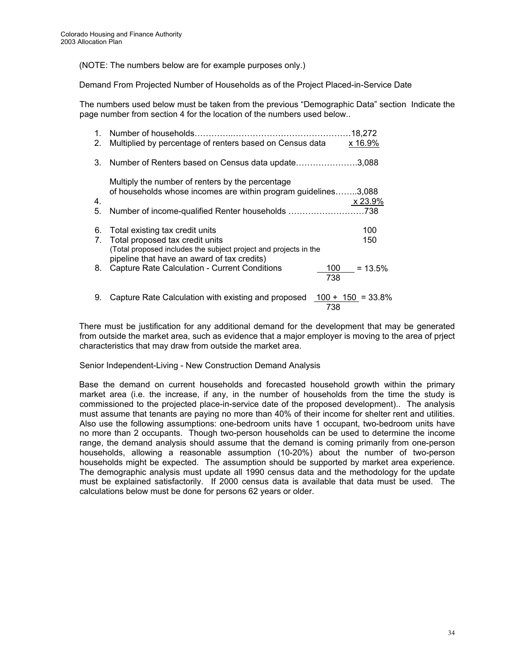(NOTE: The numbers below are for example purposes only.)

Demand From Projected Number of Households as of the Project Placed-in-Service Date

The numbers used below must be taken from the previous "Demographic Data" section Indicate the page number from section 4 for the location of the numbers used below..

| 1. | Number of households                                             | 18,272               |
|----|------------------------------------------------------------------|----------------------|
| 2. | Multiplied by percentage of renters based on Census data         | x 16.9%              |
| 3. | Number of Renters based on Census data update                    | .3,088               |
|    | Multiply the number of renters by the percentage                 |                      |
|    | of households whose incomes are within program guidelines3,088   |                      |
| 4. |                                                                  | x 23.9%              |
| 5. | Number of income-qualified Renter households 738                 |                      |
| 6. | Total existing tax credit units                                  | 100                  |
| 7. | Total proposed tax credit units                                  | 150                  |
|    | (Total proposed includes the subject project and projects in the |                      |
|    | pipeline that have an award of tax credits)                      |                      |
| 8. | <b>Capture Rate Calculation - Current Conditions</b>             | $= 13.5\%$<br>100    |
|    |                                                                  | 738                  |
| 9. | Capture Rate Calculation with existing and proposed              | $100 + 150 = 33.8\%$ |

There must be justification for any additional demand for the development that may be generated from outside the market area, such as evidence that a major employer is moving to the area of prject characteristics that may draw from outside the market area.

Senior Independent-Living - New Construction Demand Analysis

738

Base the demand on current households and forecasted household growth within the primary market area (i.e. the increase, if any, in the number of households from the time the study is commissioned to the projected place-in-service date of the proposed development).. The analysis must assume that tenants are paying no more than 40% of their income for shelter rent and utilities. Also use the following assumptions: one-bedroom units have 1 occupant, two-bedroom units have no more than 2 occupants. Though two-person households can be used to determine the income range, the demand analysis should assume that the demand is coming primarily from one-person households, allowing a reasonable assumption (10-20%) about the number of two-person households might be expected. The assumption should be supported by market area experience. The demographic analysis must update all 1990 census data and the methodology for the update must be explained satisfactorily. If 2000 census data is available that data must be used. The calculations below must be done for persons 62 years or older.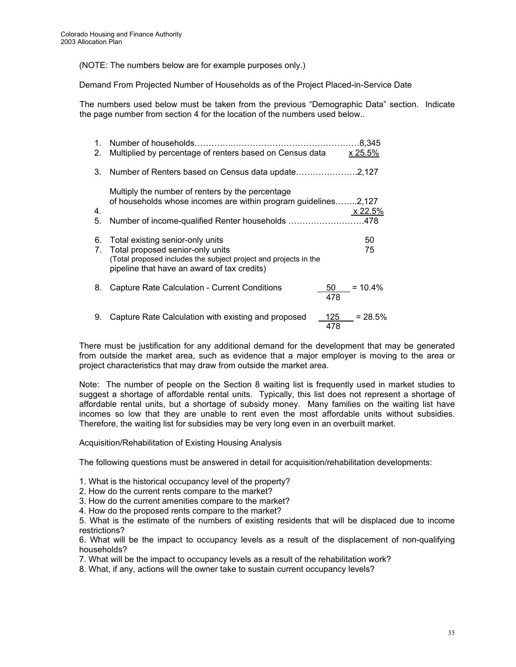(NOTE: The numbers below are for example purposes only.)

Demand From Projected Number of Households as of the Project Placed-in-Service Date

The numbers used below must be taken from the previous "Demographic Data" section. Indicate the page number from section 4 for the location of the numbers used below..

| 1.<br>2. | Number of households.<br>Multiplied by percentage of renters based on Census data                                                                                                       |            | 8.345<br>x 25.5% |
|----------|-----------------------------------------------------------------------------------------------------------------------------------------------------------------------------------------|------------|------------------|
| 3.       |                                                                                                                                                                                         |            |                  |
| 4.<br>5. | Multiply the number of renters by the percentage<br>of households whose incomes are within program guidelines2,127<br>Number of income-qualified Renter households 478                  |            | x 22.5%          |
| 6.<br>7. | Total existing senior-only units<br>Total proposed senior-only units<br>(Total proposed includes the subject project and projects in the<br>pipeline that have an award of tax credits) |            | 50<br>75         |
| 8.       | Capture Rate Calculation - Current Conditions                                                                                                                                           | 50<br>478  | $= 10.4\%$       |
| 9.       | Capture Rate Calculation with existing and proposed                                                                                                                                     | 125<br>478 | $= 28.5\%$       |

There must be justification for any additional demand for the development that may be generated from outside the market area, such as evidence that a major employer is moving to the area or project characteristics that may draw from outside the market area.

Note: The number of people on the Section 8 waiting list is frequently used in market studies to suggest a shortage of affordable rental units. Typically, this list does not represent a shortage of affordable rental units, but a shortage of subsidy money. Many families on the waiting list have incomes so low that they are unable to rent even the most affordable units without subsidies. Therefore, the waiting list for subsidies may be very long even in an overbuilt market.

Acquisition/Rehabilitation of Existing Housing Analysis

The following questions must be answered in detail for acquisition/rehabilitation developments:

- 1. What is the historical occupancy level of the property?
- 2. How do the current rents compare to the market?
- 3. How do the current amenities compare to the market?
- 4. How do the proposed rents compare to the market?

5. What is the estimate of the numbers of existing residents that will be displaced due to income restrictions?

6. What will be the impact to occupancy levels as a result of the displacement of non-qualifying households?

7. What will be the impact to occupancy levels as a result of the rehabilitation work?

8. What, if any, actions will the owner take to sustain current occupancy levels?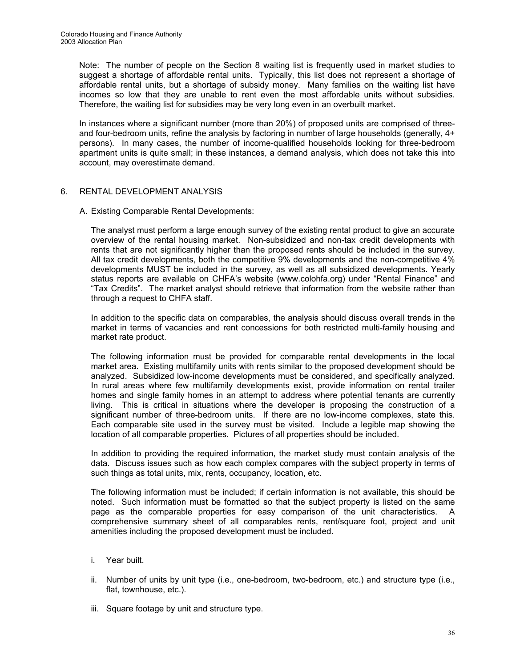Note: The number of people on the Section 8 waiting list is frequently used in market studies to suggest a shortage of affordable rental units. Typically, this list does not represent a shortage of affordable rental units, but a shortage of subsidy money. Many families on the waiting list have incomes so low that they are unable to rent even the most affordable units without subsidies. Therefore, the waiting list for subsidies may be very long even in an overbuilt market.

In instances where a significant number (more than 20%) of proposed units are comprised of threeand four-bedroom units, refine the analysis by factoring in number of large households (generally, 4+ persons). In many cases, the number of income-qualified households looking for three-bedroom apartment units is quite small; in these instances, a demand analysis, which does not take this into account, may overestimate demand.

# 6. RENTAL DEVELOPMENT ANALYSIS

# A. Existing Comparable Rental Developments:

The analyst must perform a large enough survey of the existing rental product to give an accurate overview of the rental housing market. Non-subsidized and non-tax credit developments with rents that are not significantly higher than the proposed rents should be included in the survey. All tax credit developments, both the competitive 9% developments and the non-competitive 4% developments MUST be included in the survey, as well as all subsidized developments. Yearly status reports are available on CHFA's website (www.colohfa.org) under "Rental Finance" and "Tax Credits". The market analyst should retrieve that information from the website rather than through a request to CHFA staff.

In addition to the specific data on comparables, the analysis should discuss overall trends in the market in terms of vacancies and rent concessions for both restricted multi-family housing and market rate product.

The following information must be provided for comparable rental developments in the local market area. Existing multifamily units with rents similar to the proposed development should be analyzed. Subsidized low-income developments must be considered, and specifically analyzed. In rural areas where few multifamily developments exist, provide information on rental trailer homes and single family homes in an attempt to address where potential tenants are currently living. This is critical in situations where the developer is proposing the construction of a significant number of three-bedroom units. If there are no low-income complexes, state this. Each comparable site used in the survey must be visited. Include a legible map showing the location of all comparable properties. Pictures of all properties should be included.

In addition to providing the required information, the market study must contain analysis of the data. Discuss issues such as how each complex compares with the subject property in terms of such things as total units, mix, rents, occupancy, location, etc.

The following information must be included; if certain information is not available, this should be noted. Such information must be formatted so that the subject property is listed on the same page as the comparable properties for easy comparison of the unit characteristics. A comprehensive summary sheet of all comparables rents, rent/square foot, project and unit amenities including the proposed development must be included.

- i. Year built.
- ii. Number of units by unit type (i.e., one-bedroom, two-bedroom, etc.) and structure type (i.e., flat, townhouse, etc.).
- iii. Square footage by unit and structure type.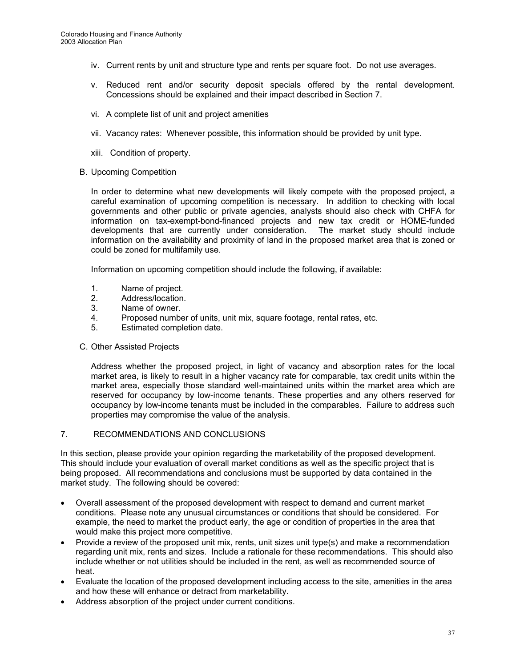- iv. Current rents by unit and structure type and rents per square foot. Do not use averages.
- v. Reduced rent and/or security deposit specials offered by the rental development. Concessions should be explained and their impact described in Section 7.
- vi. A complete list of unit and project amenities
- vii. Vacancy rates: Whenever possible, this information should be provided by unit type.
- xiii. Condition of property.
- B. Upcoming Competition

In order to determine what new developments will likely compete with the proposed project, a careful examination of upcoming competition is necessary. In addition to checking with local governments and other public or private agencies, analysts should also check with CHFA for information on tax-exempt-bond-financed projects and new tax credit or HOME-funded developments that are currently under consideration. The market study should include information on the availability and proximity of land in the proposed market area that is zoned or could be zoned for multifamily use.

Information on upcoming competition should include the following, if available:

- 1. Name of project.
- 2. Address/location.
- 3. Name of owner.
- 4. Proposed number of units, unit mix, square footage, rental rates, etc.
- 5. Estimated completion date.

#### C. Other Assisted Projects

Address whether the proposed project, in light of vacancy and absorption rates for the local market area, is likely to result in a higher vacancy rate for comparable, tax credit units within the market area, especially those standard well-maintained units within the market area which are reserved for occupancy by low-income tenants. These properties and any others reserved for occupancy by low-income tenants must be included in the comparables. Failure to address such properties may compromise the value of the analysis.

## 7. RECOMMENDATIONS AND CONCLUSIONS

In this section, please provide your opinion regarding the marketability of the proposed development. This should include your evaluation of overall market conditions as well as the specific project that is being proposed. All recommendations and conclusions must be supported by data contained in the market study. The following should be covered:

- Overall assessment of the proposed development with respect to demand and current market conditions. Please note any unusual circumstances or conditions that should be considered. For example, the need to market the product early, the age or condition of properties in the area that would make this project more competitive.
- Provide a review of the proposed unit mix, rents, unit sizes unit type(s) and make a recommendation regarding unit mix, rents and sizes. Include a rationale for these recommendations. This should also include whether or not utilities should be included in the rent, as well as recommended source of heat.
- Evaluate the location of the proposed development including access to the site, amenities in the area and how these will enhance or detract from marketability.
- Address absorption of the project under current conditions.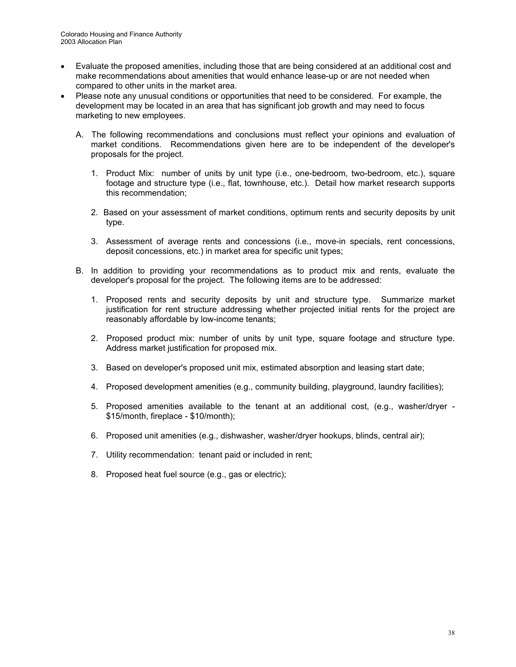- Evaluate the proposed amenities, including those that are being considered at an additional cost and make recommendations about amenities that would enhance lease-up or are not needed when compared to other units in the market area.
- Please note any unusual conditions or opportunities that need to be considered. For example, the development may be located in an area that has significant job growth and may need to focus marketing to new employees.
	- A. The following recommendations and conclusions must reflect your opinions and evaluation of market conditions. Recommendations given here are to be independent of the developer's proposals for the project.
		- 1. Product Mix: number of units by unit type (i.e., one-bedroom, two-bedroom, etc.), square footage and structure type (i.e., flat, townhouse, etc.). Detail how market research supports this recommendation;
		- 2. Based on your assessment of market conditions, optimum rents and security deposits by unit type.
		- 3. Assessment of average rents and concessions (i.e., move-in specials, rent concessions, deposit concessions, etc.) in market area for specific unit types;
	- B. In addition to providing your recommendations as to product mix and rents, evaluate the developer's proposal for the project. The following items are to be addressed:
		- 1. Proposed rents and security deposits by unit and structure type. Summarize market justification for rent structure addressing whether projected initial rents for the project are reasonably affordable by low-income tenants;
		- 2. Proposed product mix: number of units by unit type, square footage and structure type. Address market justification for proposed mix.
		- 3. Based on developer's proposed unit mix, estimated absorption and leasing start date;
		- 4. Proposed development amenities (e.g., community building, playground, laundry facilities);
		- 5. Proposed amenities available to the tenant at an additional cost, (e.g., washer/dryer \$15/month, fireplace - \$10/month);
		- 6. Proposed unit amenities (e.g., dishwasher, washer/dryer hookups, blinds, central air);
		- 7. Utility recommendation: tenant paid or included in rent;
		- 8. Proposed heat fuel source (e.g., gas or electric);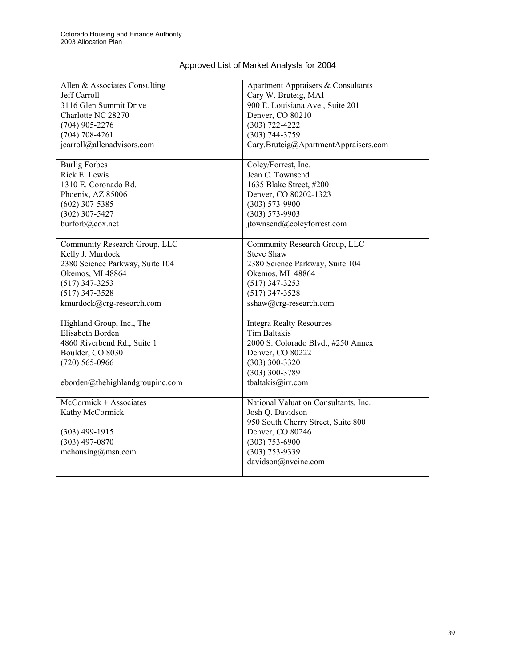| Approved List of Market Analysts for 2004 |  |
|-------------------------------------------|--|

| Allen & Associates Consulting   | Apartment Appraisers & Consultants   |  |
|---------------------------------|--------------------------------------|--|
| Jeff Carroll                    | Cary W. Bruteig, MAI                 |  |
| 3116 Glen Summit Drive          | 900 E. Louisiana Ave., Suite 201     |  |
| Charlotte NC 28270              | Denver, CO 80210                     |  |
| $(704)$ 905-2276                | $(303) 722 - 4222$                   |  |
| $(704)$ 708-4261                | $(303) 744 - 3759$                   |  |
| jcarroll@allenadvisors.com      | Cary.Bruteig@ApartmentAppraisers.com |  |
|                                 |                                      |  |
| <b>Burlig Forbes</b>            | Coley/Forrest, Inc.                  |  |
| Rick E. Lewis                   | Jean C. Townsend                     |  |
| 1310 E. Coronado Rd.            | 1635 Blake Street, #200              |  |
| Phoenix, AZ 85006               | Denver, CO 80202-1323                |  |
| $(602)$ 307-5385                | $(303) 573 - 9900$                   |  |
| $(302)$ 307-5427                | $(303) 573 - 9903$                   |  |
| burforb@cox.net                 | jtownsend@coleyforrest.com           |  |
|                                 |                                      |  |
| Community Research Group, LLC   | Community Research Group, LLC        |  |
| Kelly J. Murdock                | <b>Steve Shaw</b>                    |  |
| 2380 Science Parkway, Suite 104 | 2380 Science Parkway, Suite 104      |  |
| Okemos, MI 48864                | Okemos, MI 48864                     |  |
| $(517)$ 347-3253                | $(517)$ 347-3253                     |  |
| $(517)$ 347-3528                | $(517)$ 347-3528                     |  |
| kmurdock@crg-research.com       | sshaw@crg-research.com               |  |
|                                 |                                      |  |
| Highland Group, Inc., The       | <b>Integra Realty Resources</b>      |  |
| Elisabeth Borden                | <b>Tim Baltakis</b>                  |  |
| 4860 Riverbend Rd., Suite 1     | 2000 S. Colorado Blvd., #250 Annex   |  |
| Boulder, CO 80301               | Denver, CO 80222                     |  |
| $(720)$ 565-0966                | (303) 300-3320                       |  |
|                                 | $(303)$ 300-3789                     |  |
| eborden@thehighlandgroupinc.com | tbaltakis@irr.com                    |  |
|                                 |                                      |  |
| $McComick + Associates$         | National Valuation Consultants, Inc. |  |
| Kathy McCormick                 | Josh Q. Davidson                     |  |
|                                 | 950 South Cherry Street, Suite 800   |  |
| $(303)$ 499-1915                | Denver, CO 80246                     |  |
| $(303)$ 497-0870                | $(303)$ 753-6900                     |  |
| mchousing@msn.com               | $(303) 753 - 9339$                   |  |
|                                 | davidson@nvcinc.com                  |  |
|                                 |                                      |  |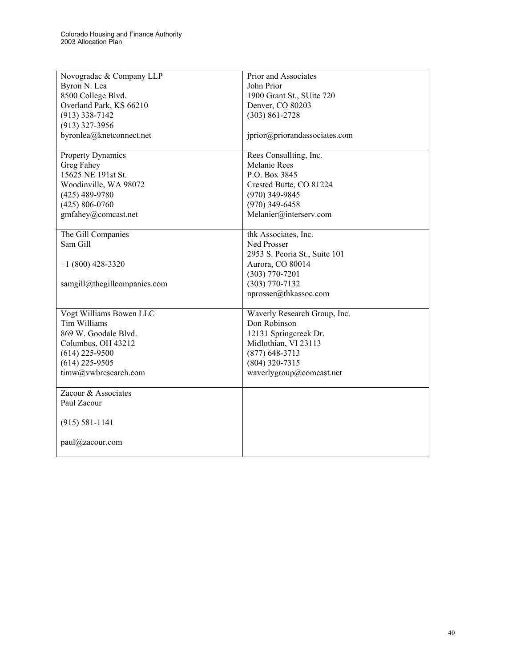| Novogradac & Company LLP     | Prior and Associates          |
|------------------------------|-------------------------------|
| Byron N. Lea                 | John Prior                    |
| 8500 College Blvd.           | 1900 Grant St., SUite 720     |
| Overland Park, KS 66210      | Denver, CO 80203              |
| $(913)$ 338-7142             | $(303) 861 - 2728$            |
| $(913)$ 327-3956             |                               |
| byronlea@knetconnect.net     | jprior@priorandassociates.com |
|                              |                               |
| <b>Property Dynamics</b>     | Rees Consullting, Inc.        |
| Greg Fahey                   | <b>Melanie Rees</b>           |
| 15625 NE 191st St.           | P.O. Box 3845                 |
| Woodinville, WA 98072        | Crested Butte, CO 81224       |
| $(425)$ 489-9780             | $(970)$ 349-9845              |
| $(425) 806 - 0760$           | $(970)$ 349-6458              |
| gmfahey@comcast.net          | Melanier@interserv.com        |
|                              |                               |
| The Gill Companies           | thk Associates, Inc.          |
| Sam Gill                     | Ned Prosser                   |
|                              | 2953 S. Peoria St., Suite 101 |
| $+1(800)$ 428-3320           | Aurora, CO 80014              |
|                              | $(303)$ 770-7201              |
| samgill@thegillcompanies.com | $(303) 770 - 7132$            |
|                              | nprosser@thkassoc.com         |
|                              |                               |
| Vogt Williams Bowen LLC      | Waverly Research Group, Inc.  |
| Tim Williams                 | Don Robinson                  |
| 869 W. Goodale Blvd.         | 12131 Springcreek Dr.         |
| Columbus, OH 43212           | Midlothian, VI 23113          |
| $(614)$ 225-9500             | $(877)$ 648-3713              |
| $(614)$ 225-9505             | (804) 320-7315                |
| timw@vwbresearch.com         | waverlygroup@comcast.net      |
|                              |                               |
| Zacour & Associates          |                               |
| Paul Zacour                  |                               |
|                              |                               |
| $(915) 581 - 1141$           |                               |
|                              |                               |
| paul@zacour.com              |                               |
|                              |                               |